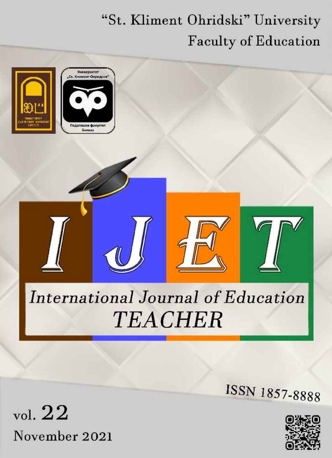## "St. Kliment Ohridski" University **Faculty of Education**



vol.  $22$ November 2021



ISSN 1857-8888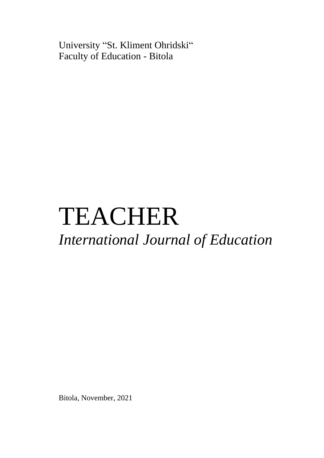University "St. Kliment Ohridski" Faculty of Education - Bitola

# TEACHER *International Journal of Education*

Bitola, November, 2021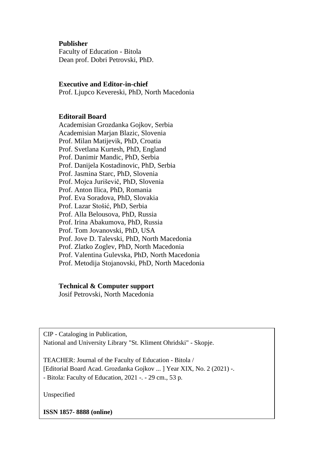## **Publisher**

Faculty of Education - Bitola Dean prof. Dobri Petrovski, PhD.

#### **Executive and Editor-in-chief**

Prof. Ljupco Kevereski, PhD, North Macedonia

#### **Editorail Board**

Academisian Grozdanka Gojkov, Serbia Academisian Marjan Blazic, Slovenia Prof. Milan Matijevik, PhD, Croatia Prof. Svetlana Kurtesh, PhD, England Prof. Danimir Mandic, PhD, Serbia Prof. Danijela Kostadinovic, PhD, Serbia Prof. Jasmina Starc, PhD, Slovenia Prof. Mojca Juriševič, PhD, Slovenia Prof. Anton Ilica, PhD, Romania Prof. Eva Soradova, PhD, Slovakia Prof. Lazar Stošić, PhD, Serbia Prof. Alla Belousova, PhD, Russia Prof. Irina Abakumova, PhD, Russia Prof. Tom Jovanovski, PhD, USA Prof. Jove D. Talevski, PhD, North Macedonia Prof. Zlatko Zoglev, PhD, North Macedonia Prof. Valentina Gulevska, PhD, North Macedonia Prof. Metodija Stojanovski, PhD, North Macedonia

#### **Technical & Computer support**

Josif Petrovski, North Macedonia

CIP - Cataloging in Publication, National and University Library "St. Kliment Ohridski" - Skopje.

TEACHER: Journal of the Faculty of Education - Bitola / [Editorial Board Acad. Grozdanka Gojkov ... ] Year XIX, No. 2 (2021) -. - Bitola: Faculty of Education, 2021 -. - 29 cm., 53 p.

Unspecified

**ISSN 1857- 8888 (online)**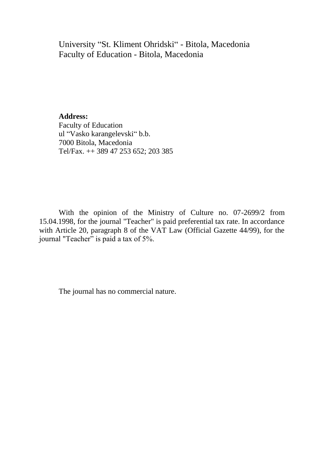University "St. Kliment Ohridski" - Bitola, Macedonia Faculty of Education - Bitola, Macedonia

**Address:** Faculty of Education ul "Vasko karangelevski" b.b. 7000 Bitola, Macedonia Tel/Fax. ++ 389 47 253 652; 203 385

With the opinion of the Ministry of Culture no. 07-2699/2 from 15.04.1998, for the journal "Teacher" is paid preferential tax rate. In accordance with Article 20, paragraph 8 of the VAT Law (Official Gazette 44/99), for the journal "Teacher" is paid a tax of 5%.

The journal has no commercial nature.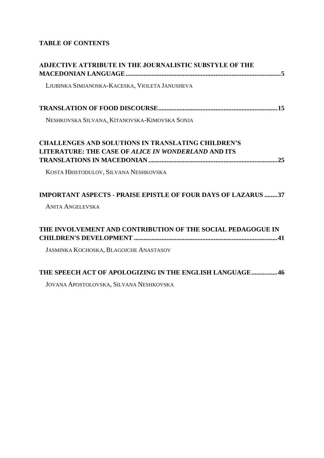## **TABLE OF CONTENTS**

| <b>ADJECTIVE ATTRIBUTE IN THE JOURNALISTIC SUBSTYLE OF THE</b>                                                          |
|-------------------------------------------------------------------------------------------------------------------------|
| LJUBINKA SIMJANOSKA-KACESKA, VIOLETA JANUSHEVA                                                                          |
|                                                                                                                         |
| NESHKOVSKA SILVANA, KITANOVSKA-KIMOVSKA SONJA                                                                           |
| <b>CHALLENGES AND SOLUTIONS IN TRANSLATING CHILDREN'S</b><br><b>LITERATURE: THE CASE OF ALICE IN WONDERLAND AND ITS</b> |
| KOSTA HRISTODULOV, SILVANA NESHKOVSKA                                                                                   |
| <b>IMPORTANT ASPECTS - PRAISE EPISTLE OF FOUR DAYS OF LAZARUS 37</b>                                                    |
| <b>ANITA ANGELEVSKA</b>                                                                                                 |
| THE INVOLVEMENT AND CONTRIBUTION OF THE SOCIAL PEDAGOGUE IN                                                             |
| <b>JASMINKA KOCHOSKA, BLAGOJCHE ANASTASOV</b>                                                                           |
| <b>THE SPEECH ACT OF APOLOGIZING IN THE ENGLISH LANGUAGE46</b>                                                          |
| JOVANA APOSTOLOVSKA, SILVANA NESHKOVSKA                                                                                 |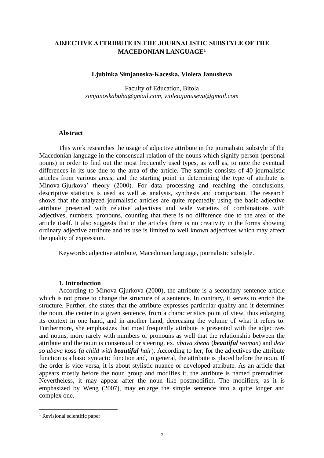## <span id="page-5-1"></span><span id="page-5-0"></span>**АDJECTIVE ATTRIBUTE IN THE JOURNALISTIC SUBSTYLE OF THE MACEDONIAN LANGUAGE<sup>1</sup>**

#### **Ljubinka Simjanoska-Kaceska, Violeta Janusheva**

Faculty of Education, Bitola *simjanoskabuba@gmail.com, violetajanuseva@gmail.com* 

#### **Abstract**

This work researches the usage of adjective attribute in the journalistic substyle of the Macedonian language in the consensual relation of the nouns which signify person (personal nouns) in order to find out the most frequently used types, as well as, to note the eventual differences in its use due to the area of the article. The sample consists of 40 journalistic articles from various areas, and the starting point in determining the type of attribute is Minova-Gjurkova' theory (2000). For data processing and reaching the conclusions, descriptive statistics is used as well as analysis, synthesis and comparison. The research shows that the analyzed journalistic articles are quite repeatedly using the basic adjective attribute presented with relative adjectives and wide varieties of combinations with adjectives, numbers, pronouns, counting that there is no difference due to the area of the article itself. It also suggests that in the articles there is no creativity in the forms showing ordinary adjective attribute and its use is limited to well known adjectives which may affect the quality of expression.

Keywords: adjective attribute, Macedonian language, journalistic substyle.

#### 1**. Introduction**

According to Minova-Gjurkova (2000), the attribute is a secondary sentence article which is not prone to change the structure of a sentence. In contrary, it serves to enrich the structure. Further, she states that the attribute expresses particular quality and it determines the noun, the center in a given sentence, from a characteristics point of view, thus enlarging its context in one hand, and in another hand, decreasing the volume of what it refers to. Furthermore, she emphasizes that most frequently attribute is presented with the adjectives and nouns, more rarely with numbers or pronouns as well that the relationship between the attribute and the noun is consensual or steering, ex. *ubava zhena* (*beautiful woman*) and *dete so ubava kosa* (*a child with beautiful hair*). According to her, for the adjectives the attribute function is a basic syntactic function and, in general, the attribute is placed before the noun. If the order is vice versa, it is about stylistic nuance or developed attribute. As an article that appears mostly before the noun group and modifies it, the attribute is named premodifier. Nevertheless, it may appear after the noun like postmodifier. The modifiers, as it is emphasized by Weng (2007), may enlarge the simple sentence into a quite longer and complex one.

<sup>&</sup>lt;sup>1</sup> Revisional scientific paper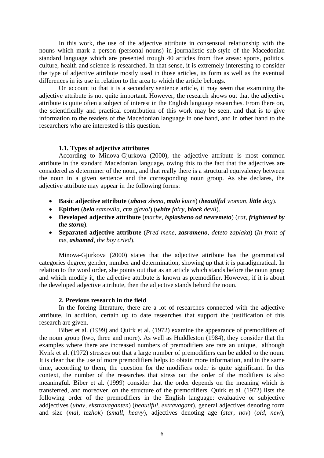In this work, the use of the adjective attribute in consensual relationship with the nouns which mark a person (personal nouns) in journalistic sub-style of the Macedonian standard language which are presented trough 40 articles from five areas: sports, politics, culture, health and science is researched. In that sense, it is extremely interesting to consider the type of adjective attribute mostly used in those articles, its form as well as the eventual differences in its use in relation to the area to which the article belongs.

On account to that it is a secondary sentence article, it may seem that examining the adjective attribute is not quite important. However, the research shows out that the adjective attribute is quite often a subject of interest in the English language researches. From there on, the scientifically and practical contribution of this work may be seen, and that is to give information to the readers of the Macedonian language in one hand, and in other hand to the researchers who are interested is this question.

#### **1.1. Types of adjective attributes**

According to Minova-Gjurkova (2000), the adjective attribute is most common attribute in the standard Macedonian language, owing this to the fact that the adjectives are considered as determiner of the noun, and that really there is a structural equivalency between the noun in a given sentence and the corresponding noun group. As she declares, the adjective attribute may appear in the following forms:

- **Basic adjective attribute** (*ubava zhena*, *malo kutre*) (*beautiful woman*, *little dog*).
- **Epithet** (*bela samovila*, *crn gjavol*) (*white fairy*, *black devil*).
- **Developed adjective attribute** (*mache*, *isplasheno od nevremeto*) (*cat*, *frightened by the storm*).
- **Separated adjective attribute** (*Pred mene*, *zasrameno*, *deteto zaplaka*) (*In front of me*, *ashamed*, *the boy cried*).

Minova-Gjurkova (2000) states that the adjective attribute has the grammatical categories degree, gender, number and determination, showing up that it is paradigmatical. In relation to the word order, she points out that as an article which stands before the noun group and which modify it, the adjective attribute is known as premodifier. However, if it is about the developed adjective attribute, then the adjective stands behind the noun.

#### **2. Previous research in the field**

In the foreing literature, there are a lot of researches connected with the adjective attribute. In addition, certain up to date researches that support the justification of this research are given.

Biber et al. (1999) and Quirk et al. (1972) examine the appearance of premodifiers of the noun group (two, three and more). As well as Huddleston (1984), they consider that the examples where there are increased numbers of premodifiers are rare an unique, although Kvirk et al. (1972) stresses out that a large number of premodifiers can be added to the noun. It is clear that the use of more premodifiers helps to obtain more information, and in the same time, according to them, the question for the modifiers order is quite significant. In this context, the number of the researches that stress out the order of the modifiers is also meaningful. Biber et al. (1999) consider that the order depends on the meaning which is transferred, and moreover, on the structure of the premodifiers. Quirk et al. (1972) lists the following order of the premodifiers in the English language: evaluative or subjective addjectives (*ubav*, *ekstravaganten*) (*beautiful*, *extravagant*), general adjectives denoting form and size (*mal*, *tezhok*) (*small*, *heavy*), adjectives denoting age (*star*, *nov*) (*old, new*),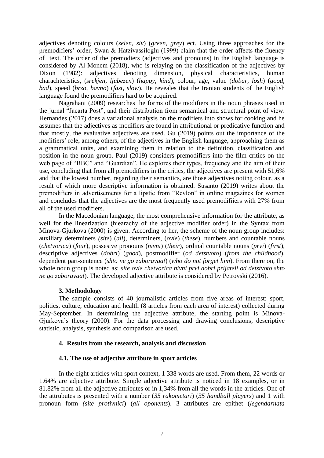adjectives denoting colours (*zelen*, *siv*) (*green*, *grey*) ect. Using three approaches for the premodifiers' order, Swan & Hatzivassiloglu (1999) claim that the order affects the fluency of text. The order of the premodiers (adjectives and pronouns) in the English language is considered by Al-Monem (2018), who is relaying on the classification of the adjectives by Dixon (1982): adjectives denoting dimension, physical characteristics, human charachteristics, (*srekjen*, *ljubezen*) (*happy*, *kind*)*,* colour, age, value (*dobar*, *losh*) (*good*, *bad*), speed (*brzo*, *bavno*) (*fast*, *slow*). He reveales that the Iranian students of the English language found the premodifiers hard to be acquired.

Nagrahani (2009) researches the forms of the modifiers in the noun phrases used in the jurnal "Jacarta Post", and their distribution from semantical and structural point of view. Hernandes (2017) does a variational analysis on the modifiers into shows for cooking and he assumes that the adjectives as modifiers are found in attributional or predicative function and that mostly, the evaluative adjectives are used. Gu (2019) points out the importance of the modifiers' role, among others, of the adjectives in the English language, approaching them as a grammatical units, and examining them in relation to the definition, classification and position in the noun group. Paul (2019) considers premodifiers into the film critics on the web page of "BBC" and "Guardian". He explores their types, frequency and the aim of their use, concluding that from all premodifiers in the critics, the adjectives are present with 51,6% and that the lowest number, regarding their semantics, are those adjectives noting colour, as a result of which more descriptive information is obtained. Susanto (2019) writes about the premodifiers in advertisements for a lipstic from "Revlon" in online magazines for women and concludes that the adjectives are the most frequently used premodifiiers with 27% from all of the used modifiers.

In the Macedonian language, the most comprehensive information for the attribute, as well for the linearization (hiearachy of the adjective modifier order) in the Syntax from Minova-Gjurkova (2000) is given. According to her, the scheme of the noun group includes: auxiliary determiners *(site*) (*all*), determiners, (*ovie*) (*these*), numbers and countable nouns (*chetvorica*) (*four*), possesive pronouns (*nivni*) (*their*), ordinal countable nouns (*prvi*) (*first*), descriptive adjectives (*dobri*) (*good*)*,* postmodifier (*od detstvoto*) (*from the childhood*), dependent part-sentence (*shto ne go zaboravaat*) (*who do not forget him*). From there on, the whole noun group is noted as: *site ovie chetvorica nivni prvi dobri prijateli od detstvoto shto ne go zaboravaat*)*.* The developed adjective attribute is considered by Petrovski (2016).

#### **3. Methodology**

The sample consists of 40 journalistic articles from five areas of interest: sport, politics, culture, education and health (8 articles from each area of interest) collected during May-September. In determining the adjective attribute, the starting point is Minova-Gjurkova's theory (2000). For the data processing and drawing conclusions, descriptive statistic, analysis, synthesis and comparison are used.

#### **4. Results from the research, analysis and discussion**

#### **4.1. The use of adjective attribute in sport articles**

In the eight articles with sport context, 1 338 words are used. From them, 22 words or 1.64% are adjective attribute. Simple adjective attribute is noticed in 18 examples, or in 81.82% from all the adjective attributes or in 1,34% from all the words in the articles. One of the attrubutes is presented with a number (*35 rakometari*) (*35 handball players*) and 1 with pronoun form *(site protivnici*) (*all oponents*). 3 attributes are epithet (*legendarnata*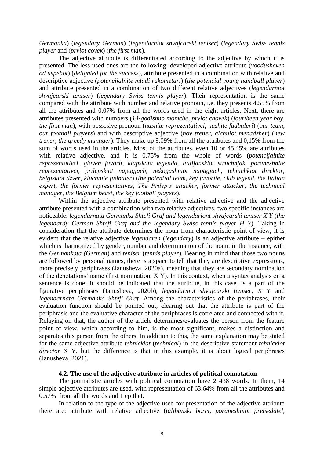#### *Germanka*) (*legendary German*) (*legendarniot shvajcarski teniser*) (*legendary Swiss tennis player* and (*prviot covek*) (*the first man*).

The adjective attribute is differentiated according to the adjective by which it is presented. The less used ones are the following: developed adjective attribute (*voodusheven od uspehot*) (*delighted for the success*), attribute presented in a combination with relative and descriptive adjective (*potencijalnite mladi rakometari*) (*the potencial young handball player*) and attribute presented in a combination of two different relative adjectives (*legendarniot shvajcarski teniser*) (*legendary Swiss tennis player*). Their representation is the same compared with the attribute with number and relative pronoun, i.e. they presents 4.55% from all the attributes and 0.07% from all the words used in the eight articles. Next, there are attributes presented with numbers (*14-godishno momche*, *prviot chovek*) (*fourtheen year boy*, *the first man*), with possesive pronoun (*nashite reprezentativci*, *nashite fudbaleri*) (*our team*, *our football players*) and with descriptive adjective (*nov trener, alchniot menadzher*) (*new trener, the greedy mаnager*). They make up 9.09% from all the attributes and 0,15% from the sum of words used in the articles. Most of the attributes, even 10 or 45.45% are attributes with relative adjective, and it is 0.75% from the whole of words (*potencijalnite reprezentativci*, *glaven favorit*, *klupskata legenda*, *italijanskiot struchnjak*, *poraneshnite reprezentativci*, *prilepskiot napagjach*, *nekogashniot napagjach*, *tehnichkiot direktor*, *belgiskiot dzver*, *kluchnite fudbaler*) (*the potential team*, *key favorite*, *club legend*, *the Italian expert*, *the former representatives*, *The Prilep's attacker*, *former attacker*, *the technical manager*, *the Belgium beast*, *the key football players*).

Within the adjective attribute presented with relative adjective and the adjective attribute presented with a combination with two relative adjectives, two specific instances are noticeable: *legendarnata Germanka Shtefi Graf and legendariont shvajcarski teniser X Y* (*the legendardy German Shtefi Graf and the legendary Swiss tennis player H Y*)*.* Taking in consideration that the attribute determines the noun from characteristic point of view, it is evident that the relative adjective *legendaren* (*legendary*) is an adjective attribute – epithet which is harmonized by gender, number and determination of the noun, in the instance, with the *Germankata (German*) and *teniser* (*tennis player*)*.* Bearing in mind that those two nouns are followed by personal names, there is a space to tell that they are descriptive expressions, more precisely periphrases (Janusheva, 2020a), meaning that they are secondary nomination of the denotations' name (first nomination, X Y). In this context, when a syntax analysis on a sentence is done, it should be indicated that the attribute, in this case, is a part of the figurative periphrases (Janusheva, 2020b), *legendarniot shvajcarski teniser*, X Y and *legendarnata Germanka Shtefi Graf.* Among the characteristics of the periphrases, their evaluation function should be pointed out, clearing out that the attribute is part of the periphrasis and the evaluative character of the periphrases is correlated and connected with it. Relaying on that, the author of the article determines/evaluates the person from the feature point of view, which according to him, is the most significant, makes a distinction and separates this person from the others. In addition to this, the same explanation may be stated for the same adjective attribute *tehnickiot* (*technical*) in the descriptive statement *tehnickiot director* X Y, but the difference is that in this example, it is about logical periphrases (Janusheva, 2021).

#### **4.2. The use of the adjective attribute in articles of political connotation**

The journalistic articles with political connotation have 2 438 words. In them, 14 simple adjective attributes are used, with representation of 63.64% from all the attributes and 0.57% from all the words and 1 epithet.

In relation to the type of the adjective used for presentation of the adjective attribute there are: attribute with relative adjective (*talibanski borci*, *poraneshniot pretsedatel*,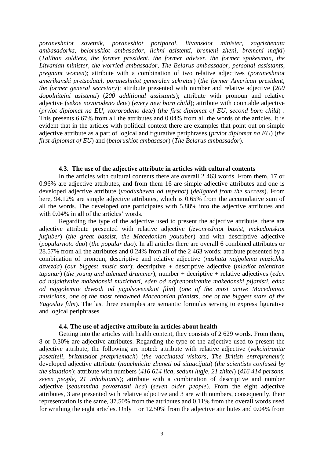*poraneshniot sovetnik*, *poraneshiot portparol*, *litvanskiot minister*, *zagrizhenata ambasadorka*, *beloruskiot ambasador*, *lichni asistenti*, *bremeni zheni*, *bremeni majki*) (*Taliban soldiers*, *the former president*, *the former adviser*, *the former spokesman*, *the Litvanian minister*, *the worried ambassador*, *The Belarus ambassador*, *personal assistants*, *pregnant women*); attribute with a combination of two relative adjectives (*poraneshniot amerikanski pretsedatel*, *poraneshniot generalen sekretar*) (*the former American president*, *the former general secretary*); attribute presented with number and relative adjective (*200 dopolnitelni asistenti*) (*200 additional assistants*); attribute with pronoun and relative adjective (*sekoe novorodeno dete*) (*every new born child*); attribute with countable adjective (*prviot diplomat na EU*, *vtororodeno dete*) (*the first diplomat of EU*, *second born child*) . This presents 6.67% from all the attributes and 0.04% from all the words of the articles. It is evident that in the articles with political context there are examples that point out on simple adjective attribute as a part of logical and figurative periphrases (*prviot diplomat na EU*) (*the first diplomat of EU*) and (*beloruskiot ambasasor*) (*The Belarus ambassador*).

#### **4.3. The use of the adjective attribute in articles with cultural contents**

In the articles with cultural contents there are overall 2 463 words. From them, 17 or 0.96% are adjective attributes, and from them 16 are simple adjective attributes and one is developed adjective attribute (*voodusheven od uspehot*) (*delighted from the success*). From here, 94.12% are simple adjective attributes, which is 0.65% from the accumulative sum of all the words. The developed one participates with 5.88% into the adjective attributes and with  $0.04\%$  in all of the articles' words.

Regarding the type of the adjective used to present the adjective attribute, there are adjective attribute presented with relative adjective (*izvonredniot basist*, *makedonskiot jutjuber*) (*the great bassist*, *the Macedonian youtuber*) and with descriptive adjective (*popularnoto duo*) (*the popular duo*). In all articles there are overall 6 combined attributes or 28.57% from all the attributes and 0.24% from all of the 2 463 words: attribute presented by a combination of pronoun, descriptive and relative adjective (*nashata najgolema muzichka dzvezda*) (*our biggest music star*); decsriptive + descriptive adjective (*mladiot talentiran tapanar*) (*the young and talented drummer*); number + decriptive + relative adjectives (*eden od najaktivnite makedonski muzichari, eden od najrenomiranite makedonski pijanisti, edna od najgolemite dzvezdi od jugolsovenskiot film*) (*one of the most active Macedonian musicians*, *one of the most renowned Macedonian pianists*, *one of the biggest stars of the Yugoslav film*). The last three examples are semantic formulas serving to express figurative and logical periphrases.

#### **4.4. The use of adjective attribute in articles about health**

Getting into the articles with health content, they consists of 2 629 words. From them, 8 or 0.30% are adjective attributes. Regarding the type of the adjective used to present the adjective attribute, the following are noted: attribute with relative adjective (*vakciniranite posetiteli*, *britanskiot pretpriemach*) (*the vaccinated visitors*, *The British entrepreneur*); developed adjective attribute (*nauchnicite zbuneti od situacijata*) (*the scientists confused by the situation*); attribute with numbers (*416 614 lica*, *sedum lugje*, *21 zhitel*) (*416 414 persons*, *seven people*, *21 inhabitants*); attribute with a combination of descriptive and number adjective (*sedummina povozrasni lica*) (*seven older people*). From the eight adjective attributes, 3 are presented with relative adjective and 3 are with numbers, consequently, their representation is the same, 37.50% from the attributes and 0.11% from the overall words used for writhing the eight articles. Only 1 or 12.50% from the adjective attributes and 0.04% from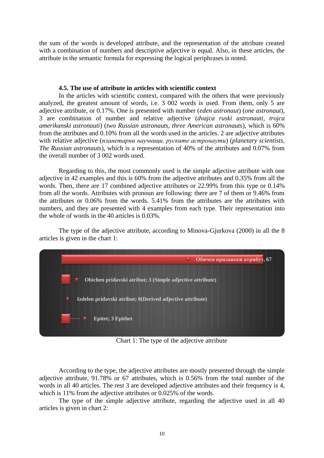the sum of the words is developed attribute, and the representation of the attribute created with a combination of numbers and descriptive adjective is equal. Also, in these articles, the attribute in the semantic formula for expressing the logical periphrases is noted.

#### **4.5. The use of attribute in articles with scientific context**

In the articles with scientific context, compared with the others that were previously analyzed, the greatest amount of words, i.e. 3 002 words is used. From them, only 5 are adjective attribute, or 0.17%. One is presented with number (*eden astronaut*) (*one astronaut*), 3 are combination of number and relative adjective (*dvajca ruski astronauti*, *trojca amerikanski astronauti*) (*two Russian astronauts*, *three American astronauts*), which is 60% from the attributes and 0.10% from all the words used in the articles. 2 are adjective attributes with relative adjective (*планетарни научници, руските астронаути*) (*planetary scientists*, *The Russian astronauts*), which is a representation of 40% of the attributes and 0.07% from the overall number of 3 002 words used.

Regarding to this, the most commonly used is the simple adjective attribute with one adjective in 42 examples and this is 60% from the adjective attributes and 0.35% from all the words. Then, there are 17 combined adjective attributes or 22.99% from this type or 0.14% from all the words. Attributes with pronoun are following: there are 7 of them or 9.46% from the attributes or 0.06% from the words. 5.41% from the attributes are the attributes with numbers, and they are presented with 4 examples from each type. Their representation into the whole of words in the 40 articles is 0.03%.

The type of the adjective attribute, according to Minova-Gjurkova (2000) in all the 8 articles is given in the chart 1:



Chart 1: The type of the adjective attribute

According to the type, the adjective attributes are mostly presented through the simple adjective attribute, 91.78% or 67 attributes, which is 0.56% from the total number of the words in all 40 articles. The rest 3 are developed adjective attributes and their frequency is 4, which is 11% from the adjective attributes or 0.025% of the words.

The type of the simple adjective attribute, regarding the adjective used in all 40 articles is given in chart 2: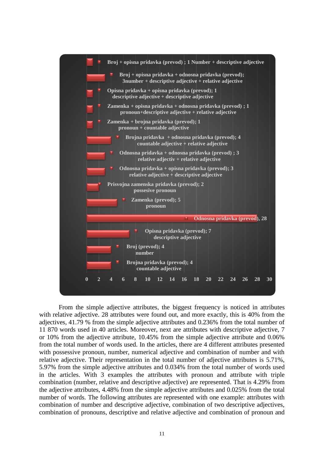

From the simple adjective attributes, the biggest frequency is noticed in attributes with relative adjective. 28 attributes were found out, and more exactly, this is 40% from the adjectives, 41.79 % from the simple adjective attributes and 0.236% from the total number of 11 870 words used in 40 articles. Moreover, next are attributes with descriptive adjective, 7 or 10% from the adjective attribute, 10.45% from the simple adjective attribute and 0.06% from the total number of words used. In the articles, there are 4 different attributes presented with possessive pronoun, number, numerical adjective and combination of number and with relative adjective. Their representation in the total number of adjective attributes is 5.71%, 5.97% from the simple adjective attributes and 0.034% from the total number of words used in the articles. With 3 examples the attributes with pronoun and attribute with triple combination (number, relative and descriptive adjective) are represented. That is 4.29% from the adjective attributes, 4.48% from the simple adjective attributes and 0.025% from the total number of words. The following attributes are represented with one example: attributes with combination of number and descriptive adjective, combination of two descriptive adjectives, combination of pronouns, descriptive and relative adjective and combination of pronoun and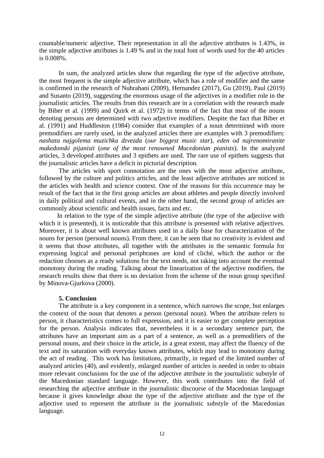countable/numeric adjective. Their representation in all the adjective attributes is 1.43%, in the simple adjective attributes is 1.49 % and in the total font of words used for the 40 articles is 0.008%.

In sum, the analyzed articles show that regarding the type of the adjective attribute, the most frequent is the simple adjective attribute, which has a role of modifier and the same is confirmed in the research of Nuhrahani (2009), Hernandez (2017), Gu (2019), Paul (2019) and Susanto (2019), suggesting the enormous usage of the adjectives in a modifier role in the journalistic articles. The results from this research are in a correlation with the research made by Biber et al. (1999) and Quirk et al. (1972) in terms of the fact that most of the nouns denoting persons are determined with two adjective modifiers. Despite the fact that Biber et al. (1991) and Huddleston (1984) consider that examples of a noun determined with more premodifiers are rarely used, in the analyzed articles there are examples with 3 premodifiers: *nashata najgolema muzichka dzvezda* (*our biggest music star*), *eden od najrenomiranite makedonski pijanisti* (*one of the most renowned Macedonian pianists*). In the analyzed articles, 3 developed attributes and 3 epithets are used. The rare use of epithets suggests that the journalistic articles have a deficit in pictorial description.

The articles with sport connotation are the ones with the most adjective attribute, followed by the culture and politics articles, and the least adjective attributes are noticed in the articles with health and science context. One of the reasons for this occurrence may be result of the fact that in the first group articles are about athletes and people directly involved in daily political and cultural events, and in the other hand, the second group of articles are commonly about scientific and health issues, facts and etc.

 In relation to the type of the simple adjective attribute (the type of the adjective with which it is presented), it is noticeable that this attribute is presented with relative adjectives. Moreover, it is about well known attributes used in a daily base for characterization of the nouns for person (personal nouns). From there, it can be seen that no creativity is evident and it seems that those attributes, all together with the attributes in the semantic formula for expressing logical and personal periphrases are kind of cliché, which the author or the redaction chooses as a ready solutions for the text needs, not taking into account the eventual monotony during the reading. Talking about the linearization of the adjective modifiers, the research results show that there is no deviation from the scheme of the noun group specified by Minova-Gjurkova (2000).

#### **5. Conclusion**

The attribute is a key component in a sentence, which narrows the scope, but enlarges the context of the noun that denotes a person (personal noun). When the attribute refers to person, it characteristics comes to full expression, and it is easier to get complete perception for the person. Analysis indicates that, nevertheless it is a secondary sentence part, the attributes have an important aim as a part of a sentence, as well as a premodifiers of the personal nouns, and their choice in the article, in a great extent, may affect the fluency of the text and its saturation with everyday known attributes, which may lead to monotony during the act of reading. This work has limitations, primarily, in regard of the limited number of analyzed articles (40), and evidently, enlarged number of articles is needed in order to obtain more relevant conclusions for the use of the adjective attribute in the journalistic substyle of the Macedonian standard language. However, this work contributes into the field of researching the adjective attribute in the journalistic discourse of the Macedonian language because it gives knowledge about the type of the adjective attribute and the type of the adjective used to represent the attribute in the journalistic substyle of the Macedonian language.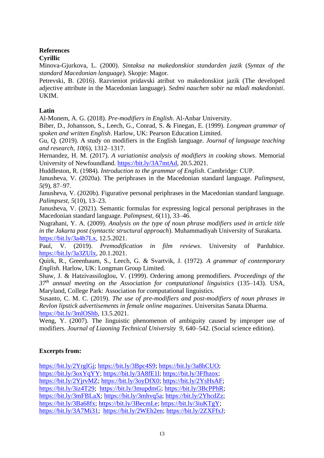## **References**

## **Cyrillic**

Minova-Gjurkova, L. (2000). *Sintaksa na makedonskiot standarden jazik* (*Syntax of the standard Macedonian language*). Skopje: Magor.

Petrevski, B. (2016). Razvieniot pridavski atribut vo makedonskiot jazik (The developed adjective attribute in the Macedonian language). *Sedmi nauchen sobir na mladi makedonisti*. UKIM.

## **Latin**

Al-Monem, A. G. (2018). *Pre-modifiers in English*. Al-Anbar University.

Biber, D., Johansson, S., Leech, G., Conrad, S. & Finegan, E. (1999). *Longman grammar of spoken and written English*. Harlow, UK: Pearson Education Limited.

Gu, Q. (2019). A study on modifiers in the English language. *Journal of language teaching and research, 10*(6), 1312–1317.

Hernandez, H. M. (2017). *A variationist analysis of modifiers in cooking shows*. Memorial University of Newfoundland. [https://bit.ly/3A7mtAd,](https://bit.ly/3A7mtAd) 20.5.2021.

Huddleston, R. (1984). *Introduction to the grammar of English*. Cambridge: CUP.

Janusheva, V. (2020a). The periphrases in the Macedonian standard language. *Palimpsest, 5*(9), 87–97.

Janusheva, V. (2020b). Figurative personal periphrases in the Macedonian standard language. *Palimpsest, 5*(10), 13–23.

Janusheva, V. (2021). Semantic formulas for expressing logical personal periphrases in the Macedonian standard language. *Palimpsest, 6*(11), 33–46.

Nugrahani, Y. A. (2009). *Analysis on the type of noun phrase modifiers used in article title in the Jakarta post (syntactic structural approach*). Muhammadiyah University of Surakarta. [https://bit.ly/3a4h7Lx,](https://bit.ly/3a4h7Lx) 12.5.2021.

Paul, V. (2019). *Premodification in film reviews*. University of Pardubice. [https://bit.ly/3a3ZUlx,](https://bit.ly/3a3ZUlx) 20.1.2021.

Quirk, R., Greenbaum, S., Leech, G. & Svartvik, J. (1972). *A grammar of contemporary English*. Harlow, UK: Longman Group Limited.

Shaw, J. & Hatzivassiloglou, V. (1999). Ordering among premodifiers. *Proceedings of the 37th annual meeting on the Association for computational linguistics* (135–143). USA, Maryland, College Park: Association for computational linguistics.

Susanto, C. M. C. (2019). *The use of pre-modifiers and post-modifiers of noun phrases in Revlon lipstick advertisements in female online magazines*. Universitas Sanata Dharma. [https://bit.ly/3mlOShb,](https://bit.ly/3mlOShb) 13.5.2021.

Weng, Y. (2007). The linguistic phenomenon of ambiguity caused by improper use of modifiers. *Journal of Liaoning Technical University 9, 640–542*. (Social science edition).

## **Excerpts from:**

[https://bit.ly/2YrglGj;](https://bit.ly/2YrglGj) [https://bit.ly/3Bpc4S9;](https://bit.ly/3Bpc4S9) [https://bit.ly/3a8hCUO;](https://bit.ly/3a8hCUO) [https://bit.ly/3oxYqYY;](https://bit.ly/3oxYqYY) [https://bit.ly/3A8fE1l;](https://bit.ly/3A8fE1l) [https://bit.ly/3Ffhzox;](https://bit.ly/3Ffhzox) [https://bit.ly/2YjrvMZ;](https://bit.ly/2YjrvMZ) [https://bit.ly/3oyDfX0;](https://bit.ly/3oyDfX0) [https://bit.ly/2YsHsAF;](https://bit.ly/2YsHsAF) [https://bit.ly/3iz4T29;](https://bit.ly/3iz4T29) [https://bit.ly/3mupdmG;](https://bit.ly/3mupdmG) [https://bit.ly/3BcPPhR;](https://bit.ly/3BcPPhR) [https://bit.ly/3mFBLaX;](https://bit.ly/3mFBLaX) [https://bit.ly/3mhvq5a;](https://bit.ly/3mhvq5a) [https://bit.ly/2YhcdZz;](https://bit.ly/2YhcdZz) [https://bit.ly/3Ba68fx;](https://bit.ly/3Ba68fx) [https://bit.ly/3BecmLe;](https://bit.ly/3BecmLe) [https://bit.ly/3iuKTgY;](https://bit.ly/3iuKTgY) [https://bit.ly/3A7Mi31;](https://bit.ly/3A7Mi31) [https://bit.ly/2WEh2en;](https://bit.ly/2WEh2en) [https://bit.ly/2ZXFfxJ;](https://bit.ly/2ZXFfxJ)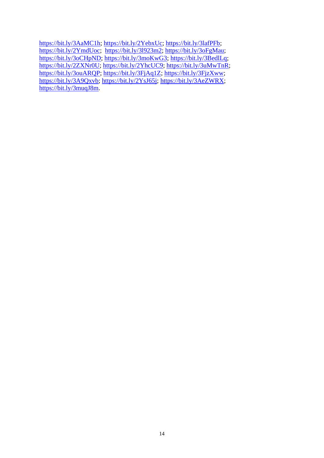[https://bit.ly/3AaMC1h;](https://bit.ly/3AaMC1h) [https://bit.ly/2YebxUc;](https://bit.ly/2YebxUc) [https://bit.ly/3lafPFb;](https://bit.ly/3lafPFb) [https://bit.ly/2YmdUoc;](https://bit.ly/2YmdUoc) [https://bit.ly/3l923m2;](https://bit.ly/3l923m2) [https://bit.ly/3oFgMau;](https://bit.ly/3oFgMau) [https://bit.ly/3oCHpND;](https://bit.ly/3oCHpND) [https://bit.ly/3moKwG3;](https://bit.ly/3moKwG3) [https://bit.ly/3BedlLq;](https://bit.ly/3BedlLq) [https://bit.ly/2ZXNr0U;](https://bit.ly/2ZXNr0U) [https://bit.ly/2YhcUC9;](https://bit.ly/2YhcUC9) [https://bit.ly/3uMwTnR;](https://bit.ly/3uMwTnR) [https://bit.ly/3ouARQP;](https://bit.ly/3ouARQP) [https://bit.ly/3FjAq1Z;](https://bit.ly/3FjAq1Z) [https://bit.ly/3FjzXww;](https://bit.ly/3FjzXww) [https://bit.ly/3A9Qxvb;](https://bit.ly/3A9Qxvb) [https://bit.ly/2YsJ65j;](https://bit.ly/2YsJ65j) [https://bit.ly/3AeZWRX;](https://bit.ly/3AeZWRX) [https://bit.ly/3muqJ8m.](https://bit.ly/3muqJ8m)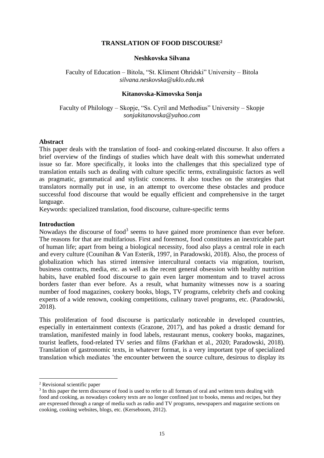#### **TRANSLATION OF FOOD DISCOURSE<sup>2</sup>**

#### **Neshkovska Silvana**

<span id="page-15-1"></span><span id="page-15-0"></span>Faculty of Education – Bitola, "St. Kliment Ohridski" University – Bitola *silvana.neskovska@uklo.edu.mk*

#### **Kitanovska-Kimovska Sonja**

<span id="page-15-2"></span>Faculty of Philology – Skopje, "Ss. Cyril and Methodius" University – Skopje *sonjakitanovska@yahoo.com*

#### **Abstract**

This paper deals with the translation of food- and cooking-related discourse. It also offers a brief overview of the findings of studies which have dealt with this somewhat underrated issue so far. More specifically, it looks into the challenges that this specialized type of translation entails such as dealing with culture specific terms, extralinguistic factors as well as pragmatic, grammatical and stylistic concerns. It also touches on the strategies that translators normally put in use, in an attempt to overcome these obstacles and produce successful food discourse that would be equally efficient and comprehensive in the target language.

Keywords: specialized translation, food discourse, culture-specific terms

#### **Introduction**

Nowadays the discourse of food<sup>3</sup> seems to have gained more prominence than ever before. The reasons for that are multifarious. First and foremost, food constitutes an inextricable part of human life; apart from being a biological necessity, food also plays a central role in each and every culture (Counihan & Van Esterik, 1997, in Paradowski, 2018). Also, the process of globalization which has stirred intensive intercultural contacts via migration, tourism, business contracts, media, etc. as well as the recent general obsession with healthy nutrition habits, have enabled food discourse to gain even larger momentum and to travel across borders faster than ever before. As a result, what humanity witnesses now is a soaring number of food magazines, cookery books, blogs, TV programs, celebrity chefs and cooking experts of a wide renown, cooking competitions, culinary travel programs, etc. (Paradowski, 2018).

This proliferation of food discourse is particularly noticeable in developed countries, especially in entertainment contexts (Grazone, 2017), and has poked a drastic demand for translation, manifested mainly in food labels, restaurant menus, cookery books, magazines, tourist leaflets, food-related TV series and films (Farkhan et al., 2020; Paradowski, 2018). Translation of gastronomic texts, in whatever format, is a very important type of specialized translation which mediates 'the encounter between the source culture, desirous to display its

<sup>2</sup> Revisional scientific paper

 $3$  In this paper the term discourse of food is used to refer to all formats of oral and written texts dealing with food and cooking, as nowadays cookery texts are no longer confined just to books, menus and recipes, but they are expressed through a range of media such as radio and TV programs, newspapers and magazine sections on cooking, cooking websites, blogs, etc. (Kerseboom, 2012).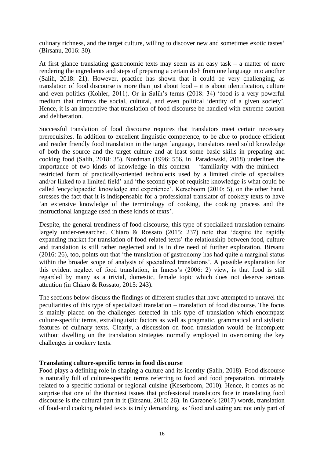culinary richness, and the target culture, willing to discover new and sometimes exotic tastes' (Birsanu, 2016: 30).

At first glance translating gastronomic texts may seem as an easy task – a matter of mere rendering the ingredients and steps of preparing a certain dish from one language into another (Salih, 2018: 21). However, practice has shown that it could be very challenging, as translation of food discourse is more than just about food – it is about identification, culture and even politics (Kohler, 2011). Or in Salih's terms (2018: 34) 'food is a very powerful medium that mirrors the social, cultural, and even political identity of a given society'. Hence, it is an imperative that translation of food discourse be handled with extreme caution and deliberation.

Successful translation of food discourse requires that translators meet certain necessary prerequisites. In addition to excellent linguistic competence, to be able to produce efficient and reader friendly food translation in the target language, translators need solid knowledge of both the source and the target culture and at least some basic skills in preparing and cooking food (Salih, 2018: 35). Nordman (1996: 556, in Paradowski, 2018) underlines the importance of two kinds of knowledge in this context – 'familiarity with the minilect – restricted form of practically-oriented technolects used by a limited circle of specialists and/or linked to a limited field' and 'the second type of requisite knowledge is what could be called 'encyclopaedic' knowledge and experience'. Kerseboom (2010: 5), on the other hand, stresses the fact that it is indispensable for a professional translator of cookery texts to have 'an extensive knowledge of the terminology of cooking, the cooking process and the instructional language used in these kinds of texts'.

Despite, the general trendiness of food discourse, this type of specialized translation remains largely under-researched. Chiaro & Rossato (2015: 237) note that 'despite the rapidly expanding market for translation of food-related texts' the relationship between food, culture and translation is still rather neglected and is in dire need of further exploration. Birsanu (2016: 26), too, points out that 'the translation of gastronomy has had quite a marginal status within the broader scope of analysis of specialized translations'. A possible explanation for this evident neglect of food translation, in Inness's (2006: 2) view, is that food is still regarded by many as a trivial, domestic, female topic which does not deserve serious attention (in Chiaro & Rossato, 2015: 243).

The sections below discuss the findings of different studies that have attempted to unravel the peculiarities of this type of specialized translation – translation of food discourse. The focus is mainly placed on the challenges detected in this type of translation which encompass culture-specific terms, extralinguistic factors as well as pragmatic, grammatical and stylistic features of culinary texts. Clearly, a discussion on food translation would be incomplete without dwelling on the translation strategies normally employed in overcoming the key challenges in cookery texts.

#### **Translating culture-specific terms in food discourse**

Food plays a defining role in shaping a culture and its identity (Salih, 2018). Food discourse is naturally full of culture-specific terms referring to food and food preparation, intimately related to a specific national or regional cuisine (Keserboom, 2010). Hence, it comes as no surprise that one of the thorniest issues that professional translators face in translating food discourse is the cultural part in it (Birsanu, 2016: 26). In Garzone's (2017) words, translation of food-and cooking related texts is truly demanding, as 'food and eating are not only part of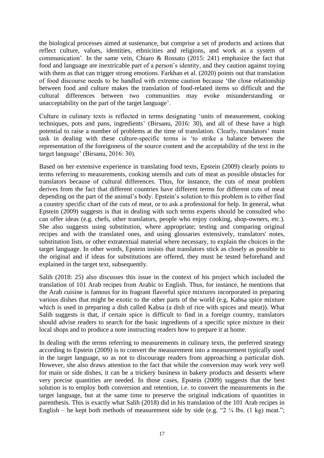the biological processes aimed at sustenance, but comprise a set of products and actions that reflect culture, values, identities, ethnicities and religions, and work as a system of communication'. In the same vein, Chiaro & Rossato (2015: 241) emphasize the fact that food and language are inextricable part of a person's identity, and they caution against toying with them as that can trigger strong emotions. Farkhan et al. (2020) points out that translation of food discourse needs to be handled with extreme caution because 'the close relationship between food and culture makes the translation of food-related items so difficult and the cultural differences between two communities may evoke misunderstanding or unacceptability on the part of the target language'.

Culture in culinary texts is reflected in terms designating 'units of measurement, cooking techniques, pots and pans, ingredients' (Birsanu, 2016: 30), and all of these have a high potential to raise a number of problems at the time of translation. Clearly, translators' main task in dealing with these culture-specific terms is 'to strike a balance between the representation of the foreignness of the source content and the acceptability of the text in the target language' (Birsanu, 2016: 30).

Based on her extensive experience in translating food texts, Epstein (2009) clearly points to terms referring to measurements, cooking utensils and cuts of meat as possible obstacles for translators because of cultural differences. Thus, for instance, the cuts of meat problem derives from the fact that different countries have different terms for different cuts of meat depending on the part of the animal's body. Epstein's solution to this problem is to either find a country specific chart of the cuts of meat, or to ask a professional for help. In general, what Epstein (2009) suggests is that in dealing with such terms experts should be consulted who can offer ideas (e.g. chefs, other translators, people who enjoy cooking, shop-owners, etc.). She also suggests using substitution, where appropriate; testing and comparing original recipes and with the translated ones, and using glossaries extensively, translators' notes, substitution lists, or other extratextual material where necessary, to explain the choices in the target language. In other words, Epstein insists that translators stick as closely as possible to the original and if ideas for substitutions are offered, they must be tested beforehand and explained in the target text, subsequently.

Salih (2018: 25) also discusses this issue in the context of his project which included the translation of 101 Arab recipes from Arabic to English. Thus, for instance, he mentions that the Arab cuisine is famous for its fragrant flavorful spice mixtures incorporated in preparing various dishes that might be exotic to the other parts of the world (e.g. Kabsa spice mixture which is used in preparing a dish called Kabsa (a dish of rice with spices and meat)). What Salih suggests is that, if certain spice is difficult to find in a foreign country, translators should advise readers to search for the basic ingredients of a specific spice mixture in their local shops and to produce a note instructing readers how to prepare it at home.

In dealing with the terms referring to measurements in culinary texts, the preferred strategy according to Epstein (2009) is to convert the measurement into a measurement typically used in the target language, so as not to discourage readers from approaching a particular dish. However, she also draws attention to the fact that while the conversion may work very well for main or side dishes, it can be a trickery business in bakery products and desserts where very precise quantities are needed. In those cases, Epstein (2009) suggests that the best solution is to employ both conversion and retention, i.e. to convert the measurements in the target language, but at the same time to preserve the original indications of quantities in parenthesis. This is exactly what Salih (2018) did in his translation of the 101 Arab recipes in English – he kept both methods of measurement side by side (e.g. " $2\frac{1}{4}$  lbs. (1 kg) meat.";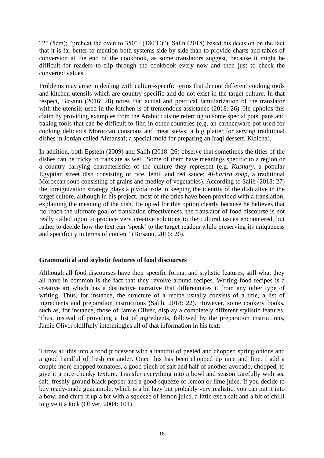"2" (5cm); "preheat the oven to 350°F (180°C)"). Salih (2018) based his decision on the fact that it is far better to mention both systems side by side than to provide charts and tables of conversion at the end of the cookbook, as some translators suggest, because it might be difficult for readers to flip through the cookbook every now and then just to check the converted values.

Problems may arise in dealing with culture-specific terms that denote different cooking tools and kitchen utensils which are country specific and do not exist in the target culture. In that respect, Birsanu (2016: 28) notes that actual and practical familiarization of the translator with the utensils used in the kitchen is of tremendous assistance (2018: 26). He upholds this claim by providing examples from the Arabic cuisine referring to some special pots, pans and baking tools that can be difficult to find in other countries (e.g. an earthenware pot used for cooking delicious Moroccan couscous and meat stews; a big platter for serving traditional dishes in Jordan called Almansaf; a special mold for preparing an Iraqi dessert, Klaicha).

In addition, both Epstein (2009) and Salih (2018: 26) observe that sometimes the titles of the dishes can be tricky to translate as well. Some of them have meanings specific to a region or a country carrying characteristics of the culture they represent (e.g. *Kushary*, a popular Egyptian street dish consisting or rice, lentil and red sauce; *Al-harira soup*, a traditional Moroccan soup consisting of grains and medley of vegetables). According to Salih (2018: 27) the foreignization strategy plays a pivotal role in keeping the identity of the dish alive in the target culture, although in his project, most of the titles have been provided with a translation, explaining the meaning of the dish. He opted for this option clearly because he believes that 'to reach the ultimate goal of translation effectiveness, the translator of food discourse is not really called upon to produce very creative solutions to the cultural issues encountered, but rather to decide how the text can 'speak' to the target readers while preserving its uniqueness and specificity in terms of content' (Birsanu, 2016: 26).

#### **Grammatical and stylistic features of food discourses**

Although all food discourses have their specific format and stylistic features, still what they all have in common is the fact that they revolve around recipes. Writing food recipes is a creative art which has a distinctive narrative that differentiates it from any other type of writing. Thus, for instance, the structure of a recipe usually consists of a title, a list of ingredients and preparation instructions (Salih, 2018: 22). However, some cookery books, such as, for instance, those of Jamie Oliver, display a completely different stylistic features. Thus, instead of providing a list of ingredients, followed by the preparation instructions, Jamie Oliver skillfully intermingles all of that information in his text:

Throw all this into a food processor with a handful of peeled and chopped spring onions and a good handful of fresh coriander. Once this has been chopped up nice and fine, I add a couple more chopped tomatoes, a good pinch of salt and half of another avocado, chopped, to give it a nice chunky texture. Transfer everything into a bowl and season carefully with sea salt, freshly ground black pepper and a good squeeze of lemon or lime juice. If you decide to buy ready-made guacamole, which is a bit lazy but probably very realistic, you can put it into a bowl and chirp it up a bit with a squeeze of lemon juice, a little extra salt and a bit of chilli to give it a kick (Oliver, 2004: 101)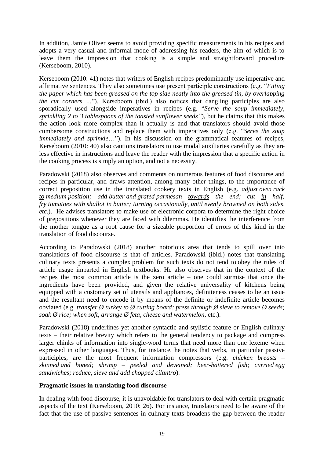In addition, Jamie Oliver seems to avoid providing specific measurements in his recipes and adopts a very casual and informal mode of addressing his readers, the aim of which is to leave them the impression that cooking is a simple and straightforward procedure (Kerseboom, 2010).

Kerseboom (2010: 41) notes that writers of English recipes predominantly use imperative and affirmative sentences. They also sometimes use present participle constructions (e.g. "*Fitting the paper which has been greased on the top side neatly into the greased tin, by overlapping the cut corners …*"). Kerseboom (ibid.) also notices that dangling participles are also sporadically used alongside imperatives in recipes (e.g. "*Serve the soup immediately, sprinkling 2 to 3 tablespoons of the toasted sunflower seeds"*), but he claims that this makes the action look more complex than it actually is and that translators should avoid those cumbersome constructions and replace them with imperatives only (e.g. "*Serve the soup immediately and sprinkle*…"). In his discussion on the grammatical features of recipes, Kerseboom (2010: 40) also cautions translators to use modal auxiliaries carefully as they are less effective in instructions and leave the reader with the impression that a specific action in the cooking process is simply an option, and not a necessity.

Paradowski (2018) also observes and comments on numerous features of food discourse and recipes in particular, and draws attention, among many other things, to the importance of correct preposition use in the translated cookery texts in English (e.g. *adjust oven rack to medium position; add butter and grated parmesan towards the end; cut in half; fry tomatoes with shallot in butter; turning occasionally, until evenly browned on both sides, etc*.). He advises translators to make use of electronic corpora to determine the right choice of prepositions whenever they are faced with dilemmas. He identifies the interference from the mother tongue as a root cause for a sizeable proportion of errors of this kind in the translation of food discourse.

According to Paradowski (2018) another notorious area that tends to spill over into translations of food discourse is that of articles. Paradowski (ibid.) notes that translating culinary texts presents a complex problem for such texts do not tend to obey the rules of article usage imparted in English textbooks. He also observes that in the context of the recipes the most common article is the zero article – one could surmise that once the ingredients have been provided, and given the relative universality of kitchens being equipped with a customary set of utensils and appliances, definiteness ceases to be an issue and the resultant need to encode it by means of the definite or indefinite article becomes obviated (e.g. *transfer Ø turkey to Ø cutting board; press through Ø sieve to remove Ø seeds; soak Ø rice; when soft, arrange Ø feta, cheese and watermelon,* etc.).

Paradowski (2018) underlines yet another syntactic and stylistic feature or English culinary texts – their relative brevity which refers to the general tendency to package and compress larger chinks of information into single-word terms that need more than one lexeme when expressed in other languages. Thus, for instance, he notes that verbs, in particular passive participles, are the most frequent information compressors (e.g. *chicken breasts – skinned and boned; shrimp – peeled and deveined; beer-battered fish; curried egg sandwiches; reduce, sieve and add chopped cilantro*).

#### **Pragmatic issues in translating food discourse**

In dealing with food discourse, it is unavoidable for translators to deal with certain pragmatic aspects of the text (Kerseboom, 2010: 26). For instance, translators need to be aware of the fact that the use of passive sentences in culinary texts broadens the gap between the reader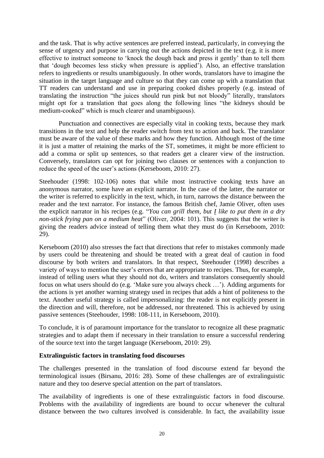and the task. That is why active sentences are preferred instead, particularly, in conveying the sense of urgency and purpose in carrying out the actions depicted in the text (e.g. it is more effective to instruct someone to 'knock the dough back and press it gently' than to tell them that 'dough becomes less sticky when pressure is applied'). Also, an effective translation refers to ingredients or results unambiguously. In other words, translators have to imagine the situation in the target language and culture so that they can come up with a translation that TT readers can understand and use in preparing cooked dishes properly (e.g. instead of translating the instruction "the juices should run pink but not bloody" literally, translators might opt for a translation that goes along the following lines "the kidneys should be medium-cooked" which is much clearer and unambiguous).

Punctuation and connectives are especially vital in cooking texts, because they mark transitions in the text and help the reader switch from text to action and back. The translator must be aware of the value of these marks and how they function. Although most of the time it is just a matter of retaining the marks of the ST, sometimes, it might be more efficient to add a comma or split up sentences, so that readers get a clearer view of the instruction. Conversely, translators can opt for joining two clauses or sentences with a conjunction to reduce the speed of the user's actions (Kerseboom, 2010: 27).

Steehouder (1998: 102-106) notes that while most instructive cooking texts have an anonymous narrator, some have an explicit narrator. In the case of the latter, the narrator or the writer is referred to explicitly in the text, which, in turn, narrows the distance between the reader and the text narrator. For instance, the famous British chef, Jamie Oliver, often uses the explicit narrator in his recipes (e.g. "*You can grill them, but I like to put them in a dry non-stick frying pan on a medium heat*" (Oliver, 2004: 101). This suggests that the writer is giving the readers advice instead of telling them what they must do (in Kerseboom, 2010: 29).

Kerseboom (2010) also stresses the fact that directions that refer to mistakes commonly made by users could be threatening and should be treated with a great deal of caution in food discourse by both writers and translators. In that respect, Steehouder (1998) describes a variety of ways to mention the user's errors that are appropriate to recipes. Thus, for example, instead of telling users what they should not do, writers and translators consequently should focus on what users should do (e.g. 'Make sure you always check …'). Adding arguments for the actions is yet another warning strategy used in recipes that adds a hint of politeness to the text. Another useful strategy is called impersonalizing: the reader is not explicitly present in the direction and will, therefore, not be addressed, nor threatened. This is achieved by using passive sentences (Steehouder, 1998: 108-111, in Kerseboom, 2010).

To conclude, it is of paramount importance for the translator to recognize all these pragmatic strategies and to adapt them if necessary in their translation to ensure a successful rendering of the source text into the target language (Kerseboom, 2010: 29).

#### **Extralinguistic factors in translating food discourses**

The challenges presented in the translation of food discourse extend far beyond the terminological issues (Birsanu, 2016: 28). Some of these challenges are of extralinguistic nature and they too deserve special attention on the part of translators.

The availability of ingredients is one of these extralinguistic factors in food discourse. Problems with the availability of ingredients are bound to occur whenever the cultural distance between the two cultures involved is considerable. In fact, the availability issue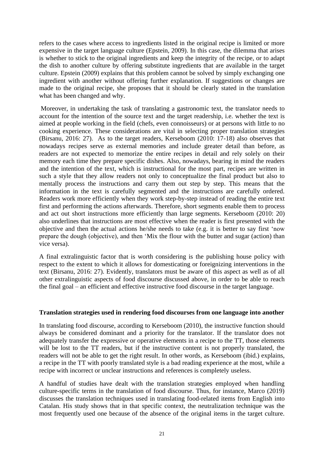refers to the cases where access to ingredients listed in the original recipe is limited or more expensive in the target language culture (Epstein, 2009). In this case, the dilemma that arises is whether to stick to the original ingredients and keep the integrity of the recipe, or to adapt the dish to another culture by offering substitute ingredients that are available in the target culture. Epstein (2009) explains that this problem cannot be solved by simply exchanging one ingredient with another without offering further explanation. If suggestions or changes are made to the original recipe, she proposes that it should be clearly stated in the translation what has been changed and why.

Moreover, in undertaking the task of translating a gastronomic text, the translator needs to account for the intention of the source text and the target readership, i.e. whether the text is aimed at people working in the field (chefs, even connoisseurs) or at persons with little to no cooking experience. These considerations are vital in selecting proper translation strategies (Birsanu, 2016: 27). As to the target readers, Kerseboom (2010: 17-18) also observes that nowadays recipes serve as external memories and include greater detail than before, as readers are not expected to memorize the entire recipes in detail and rely solely on their memory each time they prepare specific dishes. Also, nowadays, bearing in mind the readers and the intention of the text, which is instructional for the most part, recipes are written in such a style that they allow readers not only to conceptualize the final product but also to mentally process the instructions and carry them out step by step. This means that the information in the text is carefully segmented and the instructions are carefully ordered. Readers work more efficiently when they work step-by-step instead of reading the entire text first and performing the actions afterwards. Therefore, short segments enable them to process and act out short instructions more efficiently than large segments. Kerseboom (2010: 20) also underlines that instructions are most effective when the reader is first presented with the objective and then the actual actions he/she needs to take (e.g. it is better to say first 'now prepare the dough (objective), and then 'Mix the flour with the butter and sugar (action) than vice versa).

A final extralinguistic factor that is worth considering is the publishing house policy with respect to the extent to which it allows for domesticating or foreignizing interventions in the text (Birsanu, 2016: 27). Evidently, translators must be aware of this aspect as well as of all other extralinguistic aspects of food discourse discussed above, in order to be able to reach the final goal – an efficient and effective instructive food discourse in the target language.

#### **Translation strategies used in rendering food discourses from one language into another**

In translating food discourse, according to Kerseboom (2010), the instructive function should always be considered dominant and a priority for the translator. If the translator does not adequately transfer the expressive or operative elements in a recipe to the TT, those elements will be lost to the TT readers, but if the instructive content is not properly translated, the readers will not be able to get the right result. In other words, as Kerseboom (ibid.) explains, a recipe in the TT with poorly translated style is a bad reading experience at the most, while a recipe with incorrect or unclear instructions and references is completely useless.

A handful of studies have dealt with the translation strategies employed when handling culture-specific terms in the translation of food discourse. Thus, for instance, Marco (2019) discusses the translation techniques used in translating food-related items from English into Catalan. His study shows that in that specific context, the neutralization technique was the most frequently used one because of the absence of the original items in the target culture.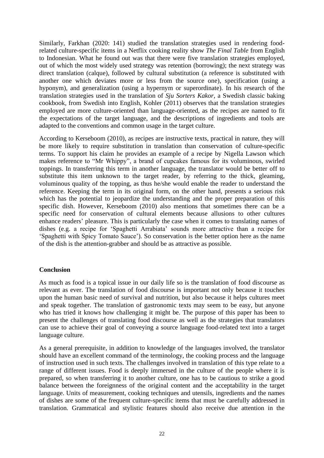Similarly, Farkhan (2020: 141) studied the translation strategies used in rendering foodrelated culture-specific items in a Netflix cooking reality show *The Final Table* from English to Indonesian. What he found out was that there were five translation strategies employed, out of which the most widely used strategy was retention (borrowing); the next strategy was direct translation (calque), followed by cultural substitution (a reference is substituted with another one which deviates more or less from the source one), specification (using a hyponym), and generalization (using a hypernym or superordinate). In his research of the translation strategies used in the translation of *Sju Sorters Kakor*, a Swedish classic baking cookbook*,* from Swedish into English*,* Kohler (2011) observes that the translation strategies employed are more culture-oriented than language-oriented, as the recipes are named to fit the expectations of the target language, and the descriptions of ingredients and tools are adapted to the conventions and common usage in the target culture.

According to Kerseboom (2010), as recipes are instructive texts, practical in nature, they will be more likely to require substitution in translation than conservation of culture-specific terms. To support his claim he provides an example of a recipe by Nigella Lawson which makes reference to "Mr Whippy", a brand of cupcakes famous for its voluminous, swirled toppings. In transferring this term in another language, the translator would be better off to substitute this item unknown to the target reader, by referring to the thick, gleaming, voluminous quality of the topping, as thus he/she would enable the reader to understand the reference. Keeping the term in its original form, on the other hand, presents a serious risk which has the potential to jeopardize the understanding and the proper preparation of this specific dish. However, Kerseboom (2010) also mentions that sometimes there can be a specific need for conservation of cultural elements because allusions to other cultures enhance readers' pleasure. This is particularly the case when it comes to translating names of dishes (e.g. a recipe for 'Spaghetti Arrabiata' sounds more attractive than a recipe for 'Spaghetti with Spicy Tomato Sauce'). So conservation is the better option here as the name of the dish is the attention-grabber and should be as attractive as possible.

#### **Conclusion**

As much as food is a topical issue in our daily life so is the translation of food discourse as relevant as ever. The translation of food discourse is important not only because it touches upon the human basic need of survival and nutrition, but also because it helps cultures meet and speak together. The translation of gastronomic texts may seem to be easy, but anyone who has tried it knows how challenging it might be. The purpose of this paper has been to present the challenges of translating food discourse as well as the strategies that translators can use to achieve their goal of conveying a source language food-related text into a target language culture.

As a general prerequisite, in addition to knowledge of the languages involved, the translator should have an excellent command of the terminology, the cooking process and the language of instruction used in such texts. The challenges involved in translation of this type relate to a range of different issues. Food is deeply immersed in the culture of the people where it is prepared, so when transferring it to another culture, one has to be cautious to strike a good balance between the foreignness of the original content and the acceptability in the target language. Units of measurement, cooking techniques and utensils, ingredients and the names of dishes are some of the frequent culture-specific items that must be carefully addressed in translation. Grammatical and stylistic features should also receive due attention in the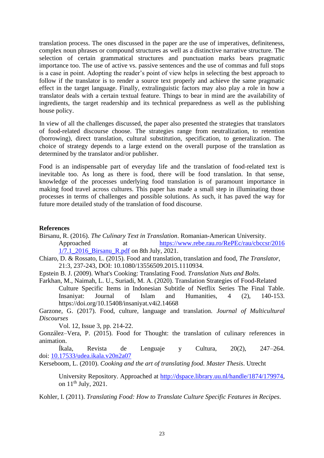translation process. The ones discussed in the paper are the use of imperatives, definiteness, complex noun phrases or compound structures as well as a distinctive narrative structure. The selection of certain grammatical structures and punctuation marks bears pragmatic importance too. The use of active vs. passive sentences and the use of commas and full stops is a case in point. Adopting the reader's point of view helps in selecting the best approach to follow if the translator is to render a source text properly and achieve the same pragmatic effect in the target language. Finally, extralinguistic factors may also play a role in how a translator deals with a certain textual feature. Things to bear in mind are the availability of ingredients, the target readership and its technical preparedness as well as the publishing house policy.

In view of all the challenges discussed, the paper also presented the strategies that translators of food-related discourse choose. The strategies range from neutralization, to retention (borrowing), direct translation, cultural substitution, specification, to generalization. The choice of strategy depends to a large extend on the overall purpose of the translation as determined by the translator and/or publisher.

Food is an indispensable part of everyday life and the translation of food-related text is inevitable too. As long as there is food, there will be food translation. In that sense, knowledge of the processes underlying food translation is of paramount importance in making food travel across cultures. This paper has made a small step in illuminating those processes in terms of challenges and possible solutions. As such, it has paved the way for future more detailed study of the translation of food discourse.

#### **References**

- Birsanu, R. (2016). *The Culinary Text in Translation*. Romanian-American University. Approached at https://www.rebe.rau.ro/RePEc/rau/cbccsr/2016 [1/7.1\\_2016\\_Birsanu\\_R.pdf](https://www.rebe.rau.ro/RePEc/rau/cbccsr/2016%201/7.1_2016_Birsanu_R.pdf) on 8th July, 2021.
- Chiaro, D. & Rossato, L. (2015). Food and translation, translation and food, *The Translator*, 21:3, 237-243, DOI: 10.1080/13556509.2015.1110934.
- Epstein B. J. (2009). What's Cooking: Translating Food*. Translation Nuts and Bolts.*
- Farkhan, M., Naimah, L. U., Suriadi, M. A. (2020). Translation Strategies of Food-Related Culture Specific Items in Indonesian Subtitle of Netflix Series The Final Table. Insaniyat: Journal of Islam and Humanities, 4 (2), 140-153. https://doi.org/10.15408/insaniyat.v4i2.14668

[Garzone,](https://www.tandfonline.com/author/Garzone%2C+Giuliana) G. (2017). Food, culture, language and translation*. Journal of Multicultural Discourses*

Vol. 12, [Issue 3,](https://www.tandfonline.com/toc/rmmd20/12/3) pp. 214-22.

González–Vera, P. (2015). Food for Thought: the translation of culinary references in animation.

Íkala, Revista de Lenguaje y Cultura, 20(2), 247–264. doi: [10.17533/udea.ikala.v20n2a07](http://dx.doi.org/10.17533/udea.ikala.v20n2a07)

Kerseboom, L. (2010). *Cooking and the art of translating food. Master Thesis*. Utrecht

University Repository. Approached at [http://dspace.library.uu.nl/handle/1874/179974,](http://dspace.library.uu.nl/handle/1874/179974) on  $11^{th}$  July, 2021.

Kohler, I. (2011). *Translating Food: How to Translate Culture Specific Features in Recipes*.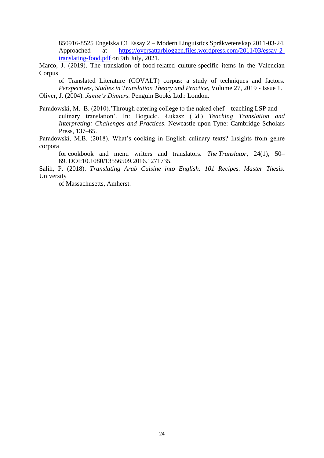850916-8525 Engelska C1 Essay 2 – Modern Linguistics Språkvetenskap 2011-03-24. Approached at [https://oversattarbloggen.files.wordpress.com/2011/03/essay-2](https://oversattarbloggen.files.wordpress.com/2011/03/essay-2-translating-food.pdf) [translating-food.pdf](https://oversattarbloggen.files.wordpress.com/2011/03/essay-2-translating-food.pdf) on 9th July, 2021.

Marco, J. (2019). The translation of food-related culture-specific items in the Valencian Corpus

of Translated Literature (COVALT) corpus: a study of techniques and factors. *Perspectives, Studies in Translation Theory and Practice*, Volume 27, 2019 - [Issue 1.](https://www.tandfonline.com/toc/rmps20/27/1) Oliver, J. (2004). *Jamie's Dinners.* Penguin Books Ltd.: London.

Paradowski, M. B. (2010).'Through catering college to the naked chef – teaching LSP and culinary translation'. In: Bogucki, Łukasz (Ed.) *Teaching Translation and Interpreting: Challenges and Practices*. Newcastle-upon-Tyne: Cambridge Scholars Press, 137–65.

Paradowski, M.B. (2018). What's cooking in English culinary texts? Insights from genre corpora

for cookbook and menu writers and translators. *The Translator*, 24(1), 50– 69. DOI:10.1080/13556509.2016.1271735.

Salih, P. (2018). *Translating Arab Cuisine into English: 101 Recipes. Master Thesis.* University

of Massachusetts, Amherst.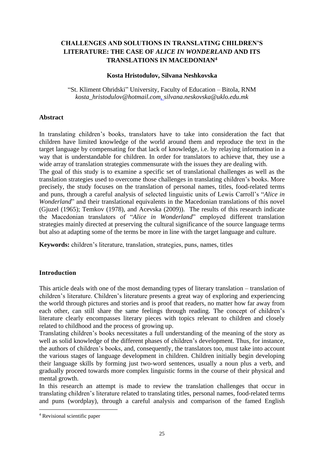## <span id="page-25-1"></span><span id="page-25-0"></span>**CHALLENGES AND SOLUTIONS IN TRANSLATING CHILDREN'S LITERATURE: THE CASE OF** *ALICE IN WONDERLAND* **AND ITS TRANSLATIONS IN MACEDONIAN<sup>4</sup>**

#### **Kosta Hristodulov, Silvana Neshkovska**

"St. Kliment Ohridski" University, Faculty of Education – Bitola, RNM *kosta\_hristodulov@hotmail.com, silvana.neskovska@uklo.edu.mk*

## **Abstract**

In translating children's books, translators have to take into consideration the fact that children have limited knowledge of the world around them and reproduce the text in the target language by compensating for that lack of knowledge, i.e. by relaying information in a way that is understandable for children. In order for translators to achieve that, they use a wide array of translation strategies commensurate with the issues they are dealing with. The goal of this study is to examine a specific set of translational challenges as well as the translation strategies used to overcome those challenges in translating children's books. More precisely, the study focuses on the translation of personal names, titles, food-related terms and puns, through a careful analysis of selected linguistic units of Lewis Carroll's "*Alice in Wonderland*" and their translational equivalents in the Macedonian translations of this novel (Gjuzel (1965); Temkov (1978), and Acevska (2009)). The results of this research indicate the Macedonian translators of "*Alice in Wonderland*" employed different translation strategies mainly directed at preserving the cultural significance of the source language terms but also at adapting some of the terms be more in line with the target language and culture.

**Keywords:** children's literature, translation, strategies, puns, names, titles

## **Introduction**

This article deals with one of the most demanding types of literary translation – translation of children's literature. Children's literature presents a great way of exploring and experiencing the world through pictures and stories and is proof that readers, no matter how far away from each other, can still share the same feelings through reading. The concept of children's literature clearly encompasses literary pieces with topics relevant to children and closely related to childhood and the process of growing up.

Translating children's books necessitates a full understanding of the meaning of the story as well as solid knowledge of the different phases of children's development. Thus, for instance, the authors of children's books, and, consequently, the translators too, must take into account the various stages of language development in children. Children initially begin developing their language skills by forming just two-word sentences, usually a noun plus a verb, and gradually proceed towards more complex linguistic forms in the course of their physical and mental growth.

In this research an attempt is made to review the translation challenges that occur in translating children's literature related to translating titles, personal names, food-related terms and puns (wordplay), through a careful analysis and comparison of the famed English

<sup>4</sup> Revisional scientific paper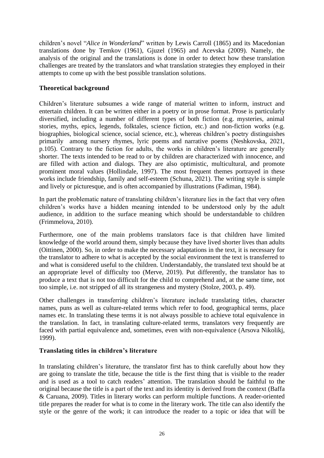children's novel "*Alice in Wonderland*" written by Lewis Carroll (1865) and its Macedonian translations done by Temkov (1961), Gjuzel (1965) and Acevska (2009). Namely, the analysis of the original and the translations is done in order to detect how these translation challenges are treated by the translators and what translation strategies they employed in their attempts to come up with the best possible translation solutions.

## **Theoretical background**

Children's literature subsumes a wide range of material written to inform, instruct and entertain children. It can be written either in a poetry or in prose format. Prose is particularly diversified, including a number of different types of both fiction (e.g. mysteries, animal stories, myths, epics, legends, folktales, science fiction, etc.) and non-fiction works (e.g. biographies, biological science, social science, etc.), whereas children's poetry distinguishes primarily among nursery rhymes, lyric poems and narrative poems (Neshkovska, 2021, p.105). Contrary to the fiction for adults, the works in children's literature are generally shorter. The texts intended to be read to or by children are characterized with innocence, and are filled with action and dialogs. They are also optimistic, multicultural, and promote prominent moral values (Hollindale, 1997). The most frequent themes portrayed in these works include friendship, family and self-esteem (Schuna, 2021). The writing style is simple and lively or picturesque, and is often accompanied by illustrations (Fadiman, 1984).

In part the problematic nature of translating children's literature lies in the fact that very often children's works have a hidden meaning intended to be understood only by the adult audience, in addition to the surface meaning which should be understandable to children (Frimmelova, 2010).

Furthermore, one of the main problems translators face is that children have limited knowledge of the world around them, simply because they have lived shorter lives than adults (Oittinen, 2000). So, in order to make the necessary adaptations in the text, it is necessary for the translator to adhere to what is accepted by the social environment the text is transferred to and what is considered useful to the children. Understandably, the translated text should be at an appropriate level of difficulty too (Merve, 2019). Put differently, the translator has to produce a text that is not too difficult for the child to comprehend and, at the same time, not too simple, i.e. not stripped of all its strangeness and mystery (Stolze, 2003, p. 49).

Other challenges in transferring children's literature include translating titles, character names, puns as well as culture-related terms which refer to food, geographical terms, place names etc. In translating these terms it is not always possible to achieve total equivalence in the translation. In fact, in translating culture-related terms, translators very frequently are faced with partial equivalence and, sometimes, even with non-equivalence (Arsova Nikolikj, 1999).

## **Translating titles in children's literature**

In translating children's literature, the translator first has to think carefully about how they are going to translate the title, because the title is the first thing that is visible to the reader and is used as a tool to catch readers' attention. The translation should be faithful to the original because the title is a part of the text and its identity is derived from the context (Baffa & Caruana, 2009). Titles in literary works can perform multiple functions. A reader-oriented title prepares the reader for what is to come in the literary work. The title can also identify the style or the genre of the work; it can introduce the reader to a topic or idea that will be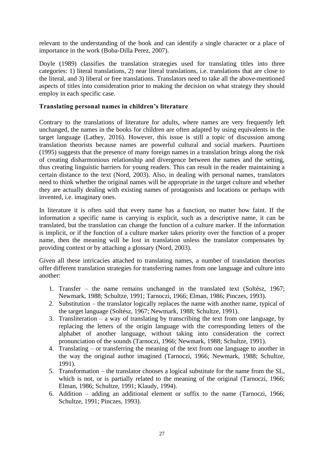relevant to the understanding of the book and can identify a single character or a place of importance in the work (Boba-Dilla Perez, 2007).

Doyle (1989) classifies the translation strategies used for translating titles into three categories: 1) literal translations, 2) near literal translations, i.e. translations that are close to the literal, and 3) liberal or free translations. Translators need to take all the above-mentioned aspects of titles into consideration prior to making the decision on what strategy they should employ in each specific case.

## **Translating personal names in children's literature**

Contrary to the translations of literature for adults, where names are very frequently left unchanged, the names in the books for children are often adapted by using equivalents in the target language (Lathey, 2016). However, this issue is still a topic of discussion among translation theorists because names are powerful cultural and social markers. Puurtinen (1995) suggests that the presence of many foreign names in a translation brings along the risk of creating disharmonious relationship and divergence between the names and the setting, thus creating linguistic barriers for young readers. This can result in the reader maintaining a certain distance to the text (Nord, 2003). Also, in dealing with personal names, translators need to think whether the original names will be appropriate in the target culture and whether they are actually dealing with existing names of protagonists and locations or perhaps with invented, i.e. imaginary ones.

In literature it is often said that every name has a function, no matter how faint. If the information a specific name is carrying is explicit, such as a descriptive name, it can be translated, but the translation can change the function of a culture marker. If the information is implicit, or if the function of a culture marker takes priority over the function of a proper name, then the meaning will be lost in translation unless the translator compensates by providing context or by attaching a glossary (Nord, 2003).

Given all these intricacies attached to translating names, a number of translation theorists offer different translation strategies for transferring names from one language and culture into another:

- 1. Transfer the name remains unchanged in the translated text (Soltész, 1967; Newmark, 1988; Schultze, 1991; Tarnoczi, 1966; Elman, 1986; Pinczes, 1993).
- 2. Substitution the translator logically replaces the name with another name, typical of the target language (Soltész, 1967; Newmark, 1988; Schultze, 1991).
- 3. Transliteration a way of translating by transcribing the text from one language, by replacing the letters of the origin language with the corresponding letters of the alphabet of another language, without taking into consideration the correct pronunciation of the sounds (Tarnoczi, 1966; Newmark, 1988; Schultze, 1991).
- 4. Translating or transferring the meaning of the text from one language to another in the way the original author imagined (Tarnoczi, 1966; Newmark, 1988; Schultze, 1991).
- 5. Transformation the translator chooses a logical substitute for the name from the SL, which is not, or is partially related to the meaning of the original (Tarnoczi, 1966; Elman, 1986; Schultze, 1991; Klaudy, 1994).
- 6. Addition adding an additional element or suffix to the name (Tarnoczi, 1966; Schultze, 1991; Pinczes, 1993).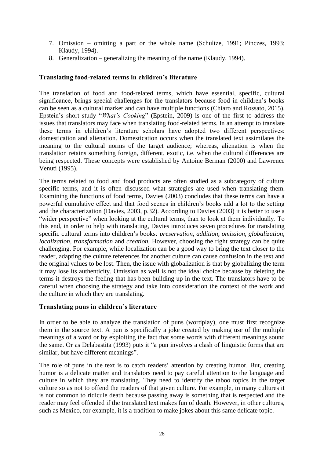- 7. Omission omitting a part or the whole name (Schultze, 1991; Pinczes, 1993; Klaudy, 1994).
- 8. Generalization generalizing the meaning of the name (Klaudy, 1994).

## **Translating food-related terms in children's literature**

The translation of food and food-related terms, which have essential, specific, cultural significance, brings special challenges for the translators because food in children's books can be seen as a cultural marker and can have multiple functions (Chiaro and Rossato, 2015). Epstein's short study "*What's Cooking*" (Epstein, 2009) is one of the first to address the issues that translators may face when translating food-related terms. In an attempt to translate these terms in children's literature scholars have adopted two different perspectives: domestication and alienation. Domestication occurs when the translated text assimilates the meaning to the cultural norms of the target audience; whereas, alienation is when the translation retains something foreign, different, exotic, i.e. when the cultural differences are being respected. These concepts were established by Antoine Berman (2000) and Lawrence Venuti (1995).

The terms related to food and food products are often studied as a subcategory of culture specific terms, and it is often discussed what strategies are used when translating them. Examining the functions of food terms, Davies (2003) concludes that these terms can have a powerful cumulative effect and that food scenes in children's books add a lot to the setting and the characterization (Davies, 2003, p.32). According to Davies (2003) it is better to use a "wider perspective" when looking at the cultural terms, than to look at them individually. To this end, in order to help with translating, Davies introduces seven procedures for translating specific cultural terms into children's books*: preservation, addition, omission, globalization, localization, transformation* and *creation.* However, choosing the right strategy can be quite challenging. For example, while localization can be a good way to bring the text closer to the reader, adapting the culture references for another culture can cause confusion in the text and the original values to be lost. Then, the issue with globalization is that by globalizing the term it may lose its authenticity. Omission as well is not the ideal choice because by deleting the terms it destroys the feeling that has been building up in the text. The translators have to be careful when choosing the strategy and take into consideration the context of the work and the culture in which they are translating.

#### **Translating puns in children's literature**

In order to be able to analyze the translation of puns (wordplay), one must first recognize them in the source text. A pun is specifically a joke created by making use of the multiple meanings of a word or by exploiting the fact that some words with different meanings sound the same. Or as Delabastita (1993) puts it "a pun involves a clash of linguistic forms that are similar, but have different meanings".

The role of puns in the text is to catch readers' attention by creating humor. But, creating humor is a delicate matter and translators need to pay careful attention to the language and culture in which they are translating. They need to identify the taboo topics in the target culture so as not to offend the readers of that given culture. For example, in many cultures it is not common to ridicule death because passing away is something that is respected and the reader may feel offended if the translated text makes fun of death. However, in other cultures, such as Mexico, for example, it is a tradition to make jokes about this same delicate topic.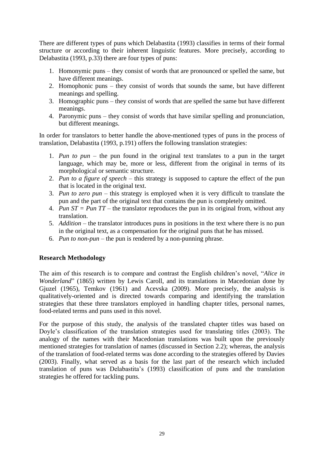There are different types of puns which Delabastita (1993) classifies in terms of their formal structure or according to their inherent linguistic features. More precisely, according to Delabastita (1993, p.33) there are four types of puns:

- 1. Homonymic puns they consist of words that are pronounced or spelled the same, but have different meanings.
- 2. Homophonic puns they consist of words that sounds the same, but have different meanings and spelling.
- 3. Homographic puns they consist of words that are spelled the same but have different meanings.
- 4. Paronymic puns they consist of words that have similar spelling and pronunciation, but different meanings.

In order for translators to better handle the above-mentioned types of puns in the process of translation, Delabastita (1993, p.191) offers the following translation strategies:

- 1. *Pun to pun* the pun found in the original text translates to a pun in the target language, which may be, more or less, different from the original in terms of its morphological or semantic structure.
- 2. *Pun to a figure of speech* this strategy is supposed to capture the effect of the pun that is located in the original text.
- 3. *Pun to zero pun* this strategy is employed when it is very difficult to translate the pun and the part of the original text that contains the pun is completely omitted.
- 4. *Pun ST = Pun TT* the translator reproduces the pun in its original from, without any translation.
- 5. *Addition* the translator introduces puns in positions in the text where there is no pun in the original text, as a compensation for the original puns that he has missed.
- 6. *Pun to non-pun* the pun is rendered by a non-punning phrase.

## **Research Methodology**

The aim of this research is to compare and contrast the English children's novel, "*Alice in Wonderland*" (1865) written by Lewis Caroll, and its translations in Macedonian done by Gjuzel (1965), Temkov (1961) and Acevska (2009). More precisely, the analysis is qualitatively-oriented and is directed towards comparing and identifying the translation strategies that these three translators employed in handling chapter titles, personal names, food-related terms and puns used in this novel.

For the purpose of this study, the analysis of the translated chapter titles was based on Doyle's classification of the translation strategies used for translating titles (2003). The analogy of the names with their Macedonian translations was built upon the previously mentioned strategies for translation of names (discussed in Section 2.2); whereas, the analysis of the translation of food-related terms was done according to the strategies offered by Davies (2003). Finally, what served as a basis for the last part of the research which included translation of puns was Delabastita's (1993) classification of puns and the translation strategies he offered for tackling puns.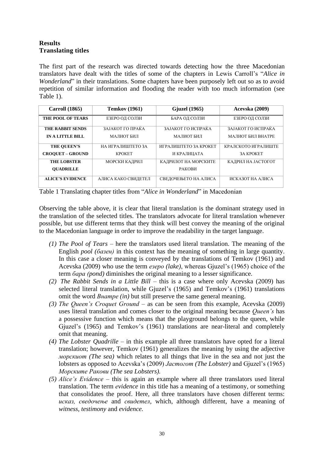## **Results Translating titles**

The first part of the research was directed towards detecting how the three Macedonian translators have dealt with the titles of some of the chapters in Lewis Carroll's "*Alice in Wonderland*" in their translations. Some chapters have been purposely left out so as to avoid repetition of similar information and flooding the reader with too much information (see Table 1).

| <b>Carroll</b> (1865)    | <b>Temkov</b> (1961)    | <b>G</b> juzel (1965) | Aceyska (2009)      |
|--------------------------|-------------------------|-----------------------|---------------------|
| <b>THE POOL OF TEARS</b> | ЕЗЕРО ОД СОЛЗИ          | БАРА ОД СОЛЗИ         | ЕЗЕРО ОД СОЛЗИ      |
| THE RABBIT SENDS         | <b>3AJAKOT ΓΟ ΠΡΑΚΑ</b> | ЗАЈАКОТ ГО ИСПРАЌА    | ЗАЈАКОТ ГО ИСПРАЌА  |
| <b>IN A LITTLE BILL</b>  | МАЛИОТ БИЛ              | МАЛИОТ БИЛ            | МАЛИОТ БИЛ ВНАТРЕ   |
| <b>THE OUEEN'S</b>       | НА ИГРАЛИШТЕТО ЗА       | ИГРАЛИШТЕТО ЗА КРОКЕТ | КРАЛСКОТО ИГРАЛИШТЕ |
| <b>CROOUET - GROUND</b>  | <b>KPOKET</b>           | И КРАЛИЦАТА           | <b>3A KPOKET</b>    |
| <b>THE LOBSTER</b>       | МОРСКИ КАДРИЛ           | КАДРИЛОТ НА МОРСКИТЕ  | КАДРИЛ НА ЈАСТОГОТ  |
| <b>OUADRILLE</b>         |                         | РАКОВИ                |                     |
| <b>ALICE'S EVIDENCE</b>  | АЛИСА КАКО СВИЛЕТЕЛ     | СВЕДОЧЕЊЕТО НА АЛИСА  | ИСКАЗОТ НА АЛИСА    |

Table 1 Translating chapter titles from "*Alice in Wonderland*" in Macedonian

Observing the table above, it is clear that literal translation is the dominant strategy used in the translation of the selected titles. The translators advocate for literal translation whenever possible, but use different terms that they think will best convey the meaning of the original to the Macedonian language in order to improve the readability in the target language.

- *(1) The Pool of Tears –* here the translators used literal translation. The meaning of the English *pool (базен)* in this context has the meaning of something in large quantity. In this case a closer meaning is conveyed by the translations of Temkov (1961) and Acevska (2009) who use the term *езеро (lake)*, whereas Gjuzel's (1965) choice of the term *бара (pond)* diminishes the original meaning to a lesser significance.
- *(2) The Rabbit Sends in a Little Bill* this is a case where only Acevska (2009) has selected literal translation, while Gjuzel's (1965) and Temkov's (1961) translations omit the word *Внатре (in)* but still preserve the same general meaning.
- *(3) The Queen's Croquet Ground* as can be seen from this example, Acevska (2009) uses literal translation and comes closer to the original meaning because *Queen's* has a possessive function which means that the playground belongs to the queen, while Gjuzel's (1965) and Temkov's (1961) translations are near-literal and completely omit that meaning.
- *(4) The Lobster Quadrille* in this example all three translators have opted for a literal translation; however, Temkov (1961) generalizes the meaning by using the adjective *морскиот (The sea)* which relates to all things that live in the sea and not just the lobsters as opposed to Acevska's (2009) *Јастогот (The Lobster)* and Gjuzel's (1965) *Морските Ракови (The sea Lobsters).*
- *(5) Alice's Evidence –* this is again an example where all three translators used literal translation. The term *еvidence* in this title has a meaning of a testimony, or something that consolidates the proof. Here, all three translators have chosen different terms: *исказ, сведочење* and *свидетел,* which, although different, have a meaning of *witness, testimony* and *evidence.*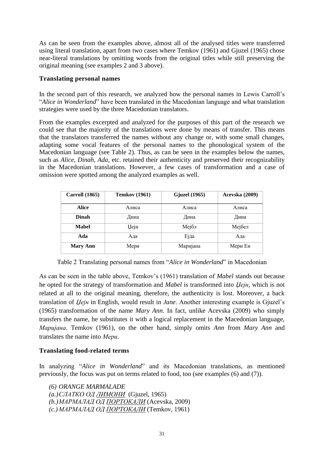As can be seen from the examples above, almost all of the analysed titles were transferred using literal translation, apart from two cases where Temkov (1961) and Gjuzel (1965) chose near-literal translations by omitting words from the original titles while still preserving the original meaning (see examples 2 and 3 above).

## **Translating personal names**

In the second part of this research, we analyzed how the personal names in Lewis Carroll's "*Alice in Wonderland*" have been translated in the Macedonian language and what translation strategies were used by the three Macedonian translators.

From the examples excerpted and analyzed for the purposes of this part of the research we could see that the majority of the translations were done by means of transfer. This means that the translators transferred the names without any change or, with some small changes, adapting some vocal features of the personal names to the phonological system of the Macedonian language (see Table 2). Thus, as can be seen in the examples below the names, such as *Alice, Dinah, Ada*, etc. retained their authenticity and preserved their recognizability in the Macedonian translations. However, a few cases of transformation and a case of omission were spotted among the analyzed examples as well.

| <b>Carroll</b> (1865) | <b>Temkov</b> (1961) | <b>G</b> juzel (1965) | <b>Acevska</b> (2009) |
|-----------------------|----------------------|-----------------------|-----------------------|
| <b>Alice</b>          | Алиса                | Алиса                 | Алиса                 |
| Dinah                 | Дина                 | Дина                  | Дина                  |
| <b>Mabel</b>          | Џејн                 | Мејбл                 | Мејбел                |
| Ada                   | Ада                  | Ејда                  | Ада                   |
| <b>Mary Ann</b>       | Мери                 | Маријана              | Мери Ен               |

Table 2 Translating personal names from "*Alice in Wonderland*" in Macedonian

As can be seen in the table above, Temkov's (1961) translation of *Mabel* stands out because he opted for the strategy of transformation and *Mabel* is transformed into *Џејн,* which is not related at all to the original meaning, therefore, the authenticity is lost. Moreover, a back translation of *Џејн* in English*,* would result in *Jane*. Another interesting example is Gjuzel's (1965) transformation of the name *Mary Ann.* In fact, unlike Acevska (2009) who simply transfers the name, he substitutes it with a logical replacement in the Macedonian language, *Маријана*. Temkov (1961), on the other hand, simply omits *Ann* from *Mary Ann* and translates the name into *Мери.*

## **Translating food-related terms**

In analyzing "*Alice in Wonderland*" and its Macedonian translations, as mentioned previously, the focus was put on terms related to food, too (see examples (6) and (7)).

*(6) ORANGE MARMALADE (a.)СЛАТКО ОД ЛИМОНИ* (Gjuzel, 1965) *(b.)МАРМАЛАД ОД ПОРТОКАЛИ* (Acevska, 2009) *(c.) МАРМАЛАД ОД ПОРТОКАЛИ* (Temkov, 1961)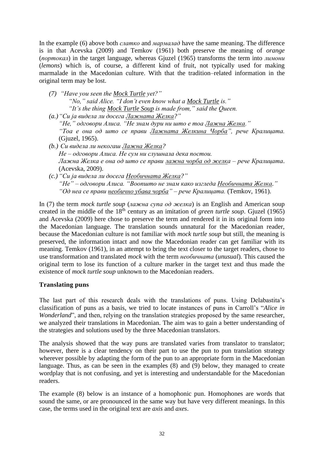In the example (6) above both *слатко* and *мармалад* have the same meaning. The difference is in that Acevska (2009) and Temkov (1961) both preserve the meaning of *orange* (*портокал*) in the target language, whereas Gjuzel (1965) transforms the term into *лимони* (*lemons*) which is, of course, a different kind of fruit, not typically used for making marmalade in the Macedonian culture. With that the tradition–related information in the original term may be lost.

- *(7) "Have you seen the Mock Turtle yet?" "No," said Alice. "I don't even know what a Mock Turtle is." "It's the thing Mock Turtle Soup is made from," said the Queen.*
- *(a.)"Си ја видела ли досега Лажната Желка?" "Не," одговори Алиса. "Не знам дури ни што е тоа Лажна Желка." "Тоа е она од што се прави Лажната Желкина Чорба", рече Кралицата.*  (Gjuzel, 1965).
- *(b.) Си видела ли некогаш Лажна Желка? Не – одговори Алиса. Не сум ни слушнала дека постои. Лажна Желка е она од што се прави лажна чорба од желка – рече Кралицата*. (Acevska, 2009).
- *(c.) "Си ја видела ли досега Необичната Желка?" "Не" – одговори Алиса. "Воопшто не знам како изгледа Необичната Желка." "Од неа се прави необично убава чорба" – рече Кралицата.* (Temkov, 1961).

In (7) the term *mock turtle soup* (*лажна супа од желка*) is an English and American soup created in the middle of the 18<sup>th</sup> century as an imitation of *green turtle soup*. Gjuzel (1965) and Acevska (2009) here chose to preserve the term and rendered it in its original form into the Macedonian language. The translation sounds unnatural for the Macedonian reader, because the Macedonian culture is not familiar with *mock turtle soup* but still, the meaning is preserved, the information intact and now the Macedonian reader can get familiar with its meaning. Temkov (1961), in an attempt to bring the text closer to the target readers, chose to use transformation and translated *mock* with the term *необичната* (*unusual*). This caused the original term to lose its function of a culture marker in the target text and thus made the existence of *mock turtle soup* unknown to the Macedonian readers.

## **Translating puns**

The last part of this research deals with the translations of puns. Using Delabastita's classification of puns as a basis, we tried to locate instances of puns in Carroll's "*Alice in Wonderland*", and then, relying on the translation strategies proposed by the same researcher, we analyzed their translations in Macedonian. The aim was to gain a better understanding of the strategies and solutions used by the three Macedonian translators.

The analysis showed that the way puns are translated varies from translator to translator; however, there is a clear tendency on their part to use the pun to pun translation strategy wherever possible by adapting the form of the pun to an appropriate form in the Macedonian language. Thus, as can be seen in the examples (8) and (9) below, they managed to create wordplay that is not confusing, and yet is interesting and understandable for the Macedonian readers.

The example (8) below is an instance of a homophonic pun. Homophones are words that sound the same, or are pronounced in the same way but have very different meanings. In this case, the terms used in the original text are *axis* and *axes*.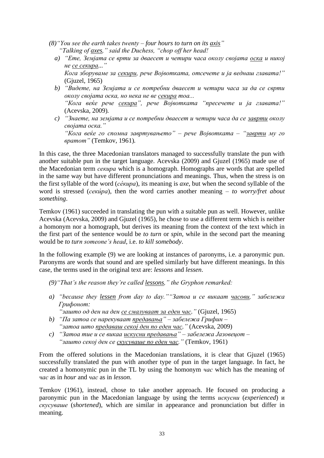- *(8)"You see the earth takes twenty – four hours to turn on its axis" "Talking of axes," said the Duchess, "chop off her head!*
	- *a) "Ете, Земјата се врти за дваесет и четири часа околу својата оска и никој не се секира..." Кога зборуваме за секири, рече Војвотката, отсечете и ја веднаш главата!"*  (Gjuzel, 1965)
	- *b) "Видете, на Земјата и се потребни дваесет и четири часа за да се сврти околу својата оска, но нека не ве секира тоа... "Кога веќе рече секира", рече Војвотката "пресечете и ја главата!"* (Acevska, 2009)*.*
	- *c) "Знаете, на земјата и се потребни дваесет и четири часа да се заврти околу својата оска." "Кога веќе го спомна завртувањето" – рече Војвотката – "заврти му го вратот"* (Temkov, 1961)*.*

In this case, the three Macedonian translators managed to successfully translate the pun with another suitable pun in the target language. Acevska (2009) and Gjuzel (1965) made use of the Macedonian term *секира* which is a homograph. Homographs are words that are spelled in the same way but have different pronunciations and meanings. Thus, when the stress is on the first syllable of the word (*се́кира*), its meaning is *axe*, but when the second syllable of the word is stressed (*секи́ра*), then the word carries another meaning – *to worry/fret about something*.

Temkov (1961) succeeded in translating the pun with a suitable pun as well. However, unlike Acevska (Acevska, 2009) and Gjuzel (1965), he chose to use a different term which is neither a homonym nor a homograph, but derives its meaning from the context of the text which in the first part of the sentence would be *to turn* or *spin*, while in the second part the meaning would be *to turn someone's head*, i.e. *to kill somebody*.

In the following example (9) we are looking at instances of paronyms, i.e. a paronymic pun. Paronyms are words that sound and are spelled similarly but have different meanings. In this case, the terms used in the original text are: *lessons* and *lessen*.

*(9)"That's the reason they're called lessons," the Gryphon remarked:*

- *a) "because they lessen from day to day.""Затоа и се викаат часови," забележа Грифонот:*
	- *"зашто од ден на ден се смалуваат за еден час."* (Gjuzel, 1965)
- *b) "Па затоа се нарекуваат предавања" – забележа Грифин – "затоа што предаваш секој ден по еден час."* (Acevska, 2009)
- *c) "Затоа тие и се викаа искусни предавања" – забележа Јазовецот – "зашто секој ден се скусуваше по еден час."* (Temkov, 1961)

From the offered solutions in the Macedonian translations, it is clear that Gjuzel (1965) successfully translated the pun with another type of pun in the target language. In fact, he created a homonymic pun in the TL by using the homonym *час* which has the meaning of *час* as in *hour* and *час* as in *lesson*.

Temkov (1961), instead, chose to take another approach. He focused on producing a paronymic pun in the Macedonian language by using the terms *искусни* (*experienced*) и *скусуваше* (*shortened*), which are similar in appearance and pronunciation but differ in meaning.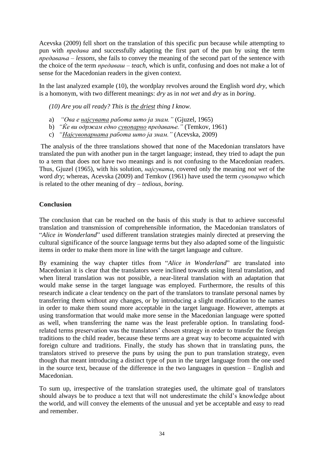Acevska (2009) fеll short on the translation of this specific pun because while attempting to pun with *предава* and successfully adapting the first part of the pun by using the term *предавања – lessons*, she fails to convey the meaning of the second part of the sentence with the choice of the term *предаваш* – *teach*, which is unfit, confusing and does not make a lot of sense for the Macedonian readers in the given context.

In the last analyzed example (10), the wordplay revolves around the English word *dry*, which is a homonym, with two different meanings: *dry* as in *not wet* and *dry* as in *boring*.

*(10) Are you all ready? This is the driest thing I know.* 

- a) *"Ова е најсувата работа што ја знам."* (Gjuzel, 1965)
- b) *"Ќе ви одржам едно сувопарно предавање."* (Temkov, 1961)
- c) *"Најсувопарната работа што ја знам."* (Acevska, 2009)

The analysis of the three translations showed that none of the Macedonian translators have translated the pun with another pun in the target language; instead, they tried to adapt the pun to a term that does not have two meanings and is not confusing to the Macedonian readers. Thus, Gjuzel (1965), with his solution, *најсувата*, covered only the meaning *not wet* of the word *dry*; whereas, Acevska (2009) and Temkov (1961) have used the term *сувопарно* which is related to the other meaning of dry – *tedious, boring*.

## **Conclusion**

The conclusion that can be reached on the basis of this study is that to achieve successful translation and transmission of comprehensible information, the Macedonian translators of "*Alice in Wonderland*" used different translation strategies mainly directed at preserving the cultural significance of the source language terms but they also adapted some of the linguistic items in order to make them more in line with the target language and culture.

By examining the way chapter titles from "*Alice in Wonderland*" are translated into Macedonian it is clear that the translators were inclined towards using literal translation, and when literal translation was not possible, a near-literal translation with an adaptation that would make sense in the target language was employed. Furthermore, the results of this research indicate a clear tendency on the part of the translators to translate personal names by transferring them without any changes, or by introducing a slight modification to the names in order to make them sound more acceptable in the target language. However, attempts at using transformation that would make more sense in the Macedonian language were spotted as well, when transferring the name was the least preferable option. In translating foodrelated terms preservation was the translators' chosen strategy in order to transfer the foreign traditions to the child reader, because these terms are a great way to become acquainted with foreign culture and traditions. Finally, the study has shown that in translating puns, the translators strived to preserve the puns by using the pun to pun translation strategy, even though that meant introducing a distinct type of pun in the target language from the one used in the source text, because of the difference in the two languages in question – English and Macedonian.

To sum up, irrespective of the translation strategies used, the ultimate goal of translators should always be to produce a text that will not underestimate the child's knowledge about the world, and will convey the elements of the unusual and yet be acceptable and easy to read and remember.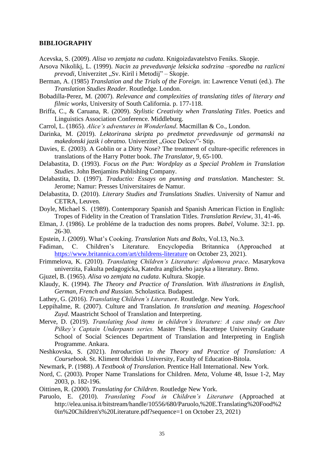#### **BIBLIOGRAPHY**

- Acevska, S. (2009). *Alisa vo zemjata na cudata*. Knigoizdavatelstvo Feniks. Skopje.
- Arsova Nikolikj, L. (1999). *Nacin za preveduvanje leksicka sodrzina* –*sporedba na razlicni prevodi*, Univerzitet "Sv. Kiril i Metodij" – Skopje.
- Berman, A. (1985) *Translation and the Trials of the Foreign.* in: Lawrence Venuti (ed.). *The Translation Studies Reader*. Routledge. London.
- Bobadilla-Perez, M. (2007). *Relevance and complexities of translating titles of literary and filmic works*, University of South California. p. 177-118.
- Briffa, C., & Caruana, R. (2009). *Stylistic Creativity when Translating Titles*. Poetics and Linguistics Association Conference. Middleburg.
- Carrol, L. (1865). *Alice's adventures in Wonderland*. Macmillan & Co., London.
- Darinka, M. (2019). *Lektorirana skripta po predmetot preveduvanje od germanski na makedonski jazik i obratno.* Univerzitet "Goce Delcev"- Stip.
- Davies, E. (2003). A Goblin or a Dirty Nose? The treatment of culture-specific references in translations of the Harry Potter book. *The Translator*, 9, 65-100.
- Delabastita, D. (1993). *Focus on the Pun: Wordplay as a Special Problem in Translation Studies*. John Benjamins Publishing Company.
- Delabastita, D. (1997). *Traductio: Essays on punning and translation*. Manchester: St. Jerome; Namur: Presses Universitaires de Namur.
- Delabastita, D. (2010). *Literary Studies and Translations Studies*. University of Namur and CETRA, Leuven.
- Doyle, Michael S. (1989). Contemporary Spanish and Spanish American Fiction in English: Tropes of Fidelity in the Creation of Translation Titles. *Translation Review*, 31, 41-46.
- Elman, J. (1986). Le probléme de la traduction des noms propres. *Babel,* Volume. 32:1. pp. 26-30.
- Epstein, J. (2009). What's Cooking. *Translation Nuts and Bolts*, Vol.13, No.3.
- Fadiman, C. Children's Literature. Encyclopedia Britannica (Approached at <https://www.britannica.com/art/childrens-literature> on October 23, 2021).
- Frimmelova, K. (2010). *Translating Children's Literature: diplomova prace*. Masarykova univerzita, Fakulta pedagogicka, Katedra anglickeho jazyka a literatury. Brno.
- Gjuzel, B. (1965). *Alisa vo zemjata na cudata*. Kultura. Skopje.
- Klaudy, K. (1994). *The Theory and Practice of Translation. With illustrations in English, German, French and Russian*. Scholastica. Budapest.
- Lathey, G. (2016). *Translating Children's Literature*. Routledge. New York.
- Leppihalme, R. (2007). Culture and Translation*. In translation and meaning. Hogeschool Zuyd*. Maastricht School of Translation and Interpreting.
- Merve, D. (2019). *Translating food items in children's literature: A case study on Dav Pilkey's Captain Underpants series.* Master Thesis. Hacettepe University Graduate School of Social Sciences Department of Translation and Interpreting in English Programme. Ankara.
- Neshkovska, S. (2021). *Introduction to the Theory and Practice of Translation: A Coursebook*. St. Kliment Ohridski University, Faculty of Education-Bitola.
- Newmark, P. (1988). *A Textbook of Translation.* Prentice Hall International. New York.
- Nord, C. (2003). Proper Name Translations for Children. *Meta*, Volume 48, Issue 1-2, May 2003, p. 182-196.
- Oittinen, R. (2000). *Translating for Children*. Routledge New York.
- Paruolo, E. (2010). *Translating Food in Children's Literature* (Approached at http://elea.unisa.it/bitstream/handle/10556/680/Paruolo,%20E.Translating%20Food%2 0in%20Children's%20Literature.pdf?sequence=1 on October 23, 2021)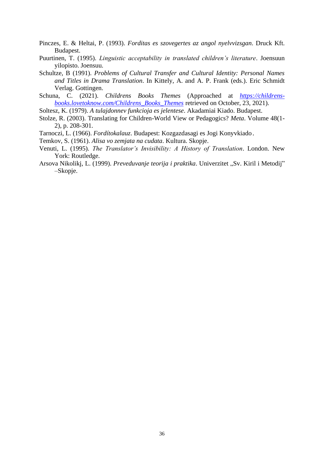- Pinczes, E. & Heltai, P. (1993). *Forditas es szovegertes az angol nyelvvizsgan*. Druck Kft. Budapest.
- Puurtinen, T. (1995). *Linguistic acceptability in translated children's literature*. Joensuun yilopisto. Joensuu.
- Schultze, B (1991). *Problems of Cultural Transfer and Cultural Identity: Personal Names and Titles in Drama Translation*. In Kittely, A. and A. P. Frank (eds.). Eric Schmidt Verlag. Gottingen.
- Schuna, C. (2021). *Childrens Books Themes* (Approached at *[https://childrens](https://childrens-books.lovetoknow.com/Childrens_Books_Themes)[books.lovetoknow.com/Childrens\\_Books\\_Themes](https://childrens-books.lovetoknow.com/Childrens_Books_Themes)* retrieved on October, 23, 2021).
- Soltesz, K. (1979). *A tulajdonnev funkcioja es jelentese*. Akadamiai Kiado. Budapest.
- Stolze, R. (2003). Translating for Children-World View or Pedagogics? *Meta*. Volume 48(1- 2), p. 208-301.
- Tarnoczi, L. (1966). *Fordítokalauz*. Budapest: Kozgazdasagi es Jogi Konyvkiado.
- Temkov, S. (1961). *Alisa vo zemjata na cudata*. Kultura. Skopje.
- Venuti, L. (1995). *The Translator's Invisibility: A History of Translation*. London. New York: Routledge.
- Arsova Nikolikj, L. (1999). *Preveduvanje teorija i praktika*. Univerzitet "Sv. Kiril i Metodij" –Skopje.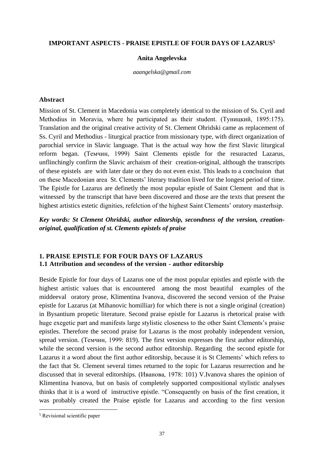#### <span id="page-37-1"></span><span id="page-37-0"></span>**IMPORTANT ASPECTS - PRAISE EPISTLE OF FOUR DAYS OF LAZARUS<sup>5</sup>**

#### **Anita Angelevska**

*aaangelska@gmail.com*

#### **Abstract**

Mission of St. Clement in Macedonia was completely identical to the mission of Ss. Cyril and Methodius in Moravia, where he participated as their student. (Туницкий, 1895:175). Translation and the original creative activity of St. Clement Ohridski came as replacement of Ss. Cyril and Methodius - liturgical practice from missionary type, with direct organization of parochial service in Slavic language. That is the actual way how the first Slavic liturgical reform began. (Темчин, 1999) Saint Clements epistle for the resuracted Lazarus, unflinchingly confirm the Slavic archaism of their creation-original, although the transcripts of these epistels are with later date or they do not even exist. This leads to a conclsuion that on these Macedonian area St. Clements' literary tradition lived for the longest period of time. The Epistle for Lazarus are definetly the most popular epistle of Saint Clement and that is witnessed by the transcript that have been discovered and those are the texts that present the highest artistics estetic dignities, refelction of the highest Saint Clements' oratory masterhsip.

*Key words: St Clement Ohridski, author editorship, secondness of the version, creationoriginal, qualification of st. Clements epistels of praise* 

## **1. PRAISE EPISTLE FOR FOUR DAYS OF LAZARUS 1.1 Attribution and secondess of the version - author editorship**

Beside Epistle for four days of Lazarus one of the most popular epistles and epistle with the highest artistic values that is encountered among the most beautiful examples of the middeeval oratory prose, Klimentina Ivanova, discovered the second version of the Praise epistle for Lazarus (at Mihanovic homilliar) for which there is not a single original (creation) in Bysantium propetic literature. Second praise epistle for Lazarus is rhetorical praise with huge exegetic part and manifests large stylistic closeness to the other Saint Clements's praise epistles. Therefore the second praise for Lazarus is the most probably independent version, spread version. (Темчин, 1999: 819). The first version expresses the first author editorship, while the second version is the second author editorship. Regarding the second epistle for Lazarus it a word about the first author editorship, because it is St Clements' which refers to the fact that St. Clement several times returned to the topic for Lazarus resurrection and he discussed that in several editorships. (Иванова, 1978: 101) V.Ivanova shares the opinion of Klimentina Ivanova, but on basis of completely supported compositional stylistic analyses thinks that it is a word of instructive epistle. "Consequently on basis of the first creation, it was probably created the Praise epistle for Lazarus and according to the first version

<sup>5</sup> Revisional scientific paper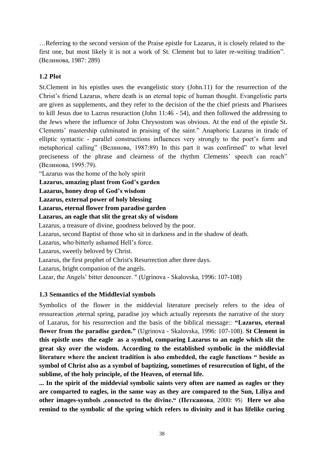…Referring to the second version of the Praise epistle for Lazarus, it is closely related to the first one, but most likely it is not a work of St. Clement but to later re-writing tradition". (Велинова, 1987: 289)

## **1.2 Plot**

St.Clement in his epistles uses the evangelistic story (John.11) for the resurrection of the Christ's friend Lazarus, where death is an eternal topic of human thought. Evangelistic parts are given as supplements, and they refer to the decision of the the chief priests and Pharisees to kill Jesus due to Lazrus resuraction (John 11:46 - 54), and then followed the addressing to the Jews where the influence of John Chrysostom was obvious. At the end of the epistle St. Clements' mastership culminated in praising of the saint." Anaphoric Lazarus in tirade of elliptic syntactic - parallel constructions influences very strongly to the poet's form and metaphorical calling" (Велинова, 1987:89) In this part it was confirmed" to what level preciseness of the phrase and clearness of the rhythm Clements' speech can reach" (Велинова, 1995:79).

"Lazarus was the home of the holy spirit

**Lazarus, amazing plant from God's garden** 

**Lazarus, honey drop of God's wisdom** 

**Lazarus, external power of holy blessing** 

**Lazarus, eternal flower from paradise garden** 

**Lazarus, an eagle that slit the great sky of wisdom** 

Lazarus, a treasure of divine, goodness beloved by the poor.

Lazarus, second Baptist of those who sit in darkness and in the shadow of death.

Lazarus, who bitterly ashamed Hell's force.

Lazarus, sweetly beloved by Christ.

Lazarus, the first prophet of Christ's Resurrection after three days.

Lazarus, bright companion of the angels.

Lazar, the Angels' bitter denouncer. " (Ugrinova - Skalovska, 1996: 107-108)

## **1.3 Semantics of the Middlevial symbols**

Symbolics of the flower in the middevial literature precisely refers to the idea of ressureaction ,eternal spring, paradise joy which actually represnts the narrative of the story of Lazarus, for his resurrection and the basis of the biblical message:: **"Lazarus, eternal flower from the paradise garden."** (Ugrinova - Skalovska, 1996: 107-108). **St Clement in this epistle uses the eagle as a symbol, comparing Lazarus to an eagle which slit the great sky over the wisdom. According to the established symbolic in the middlevial literature where the ancient tradition is also embedded, the eagle functions " beside as symbol of Christ also as a symbol of baptizing, sometimes of resurecution of light, of the sublime, of the holy principle, of the Heaven, of eternal life.** 

**... In the spirit of the middevial symbolic saints very often are named as eagles or they are comparted to eagles, in the same way as they are compared to the Sun, Liliya and other images-symbols ,connected to the divine." (Петканова**, 2000: 95) **Here we also remind to the symbolic of the spring which refers to divinity and it has lifelike curing**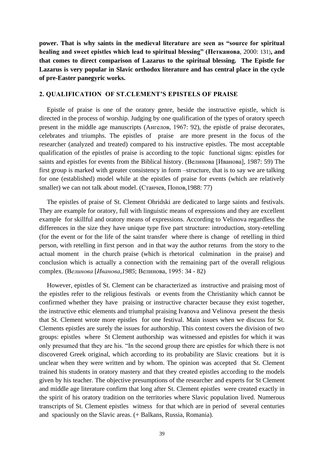**power. That is why saints in the medieval literature are seen as "source for spiritual healing and sweet epistles which lead to spiritual blessing" (Петканова**, 2000: 131)**, and that comes to direct comparison of Lazarus to the spiritual blessing. The Epistle for Lazarus is very popular in Slavic orthodox literature and has central place in the cycle of pre-Easter panegyric works.**

#### **2. QUALIFICATION OF ST.CLEMENT'S EPISTELS OF PRAISE**

Epistle of praise is one of the oratory genre, beside the instructive epistle, which is directed in the process of worship. Judging by one qualification of the types of oratory speech present in the middle age manuscripts (Ангелов, 1967: 92), the epistle of praise decorates, celebrates and triumphs. The epistles of praise are more present in the focus of the researcher (analyzed and treated) compared to his instructive epistles. The most acceptable qualification of the epistles of praise is according to the topic functional signs: epistles for saints and epistles for events from the Biblical history. (Велинова [Иванова], 1987: 59) The first group is marked with greater consistency in form –structure, that is to say we are talking for one (established) model while at the epistles of praise for events (which are relatively smaller) we can not talk about model. (Станчев, Попов, 1988: 77)

The epistles of praise of St. Clement Ohridski are dedicated to large saints and festivals. They are example for oratory, full with linguistic means of expressions and they are excellent example for skillful and oratory means of expressions. According to Velinova regardless the differences in the size they have unique type five part structure: introduction, story-retelling (for the event or for the life of the saint transfer where there is change of retelling in third person, with retelling in first person and in that way the author returns from the story to the actual moment in the church praise (which is rhetorical culmination in the praise) and conclusion which is actually a connection with the remaining part of the overall religious complex. (В*елинова* [*Иванова*,*1985*; Велинова, 1995: 34 - 82)

However, epistles of St. Clement can be characterized as instructive and praising most of the epistles refer to the religious festivals or events from the Christianity which cannot be confirmed whether they have praising or instructive character because they exist together, the instructive ethic elements and triumphal praising Ivanova and Velinova present the thesis that St. Clement wrote more epistles for one festival. Main issues when we discuss for St. Clements epistles are surely the issues for authorship. This context covers the division of two groups: epistles where St Clement authorship was witnessed and epistles for which it was only presumed that they are his. "In the second group there are epistles for which there is not discovered Greek original, which according to its probability are Slavic creations but it is unclear when they were written and by whom. The opinion was accepted that St. Clement trained his students in oratory mastery and that they created epistles according to the models given by his teacher. The objective presumptions of the researcher and experts for St Clement and middle age literature confirm that long after St. Clement epistles were created exactly in the spirit of his oratory tradition on the territories where Slavic population lived. Numerous transcripts of St. Clement epistles witness for that which are in period of several centuries and spaciously on the Slavic areas. (+ Balkans, Russia, Romania).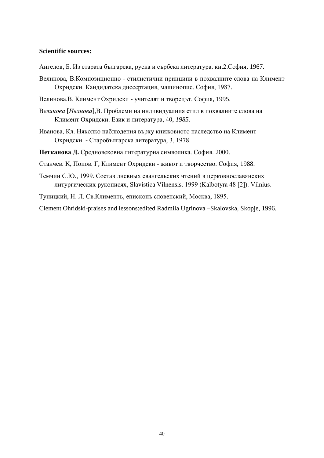#### **Scientific sources:**

- Ангелов, Б. Из старата българска, руска и сърбска литература. кн.2.София, 1967.
- Велинова, В.Композиционно стилистични принципи в похвалните слова на Климент Охридски. Кандидатска диссертация, машинопис. София, 1987.
- Велинова.В. Климент Охридски учителят и творецът. София, 1995.
- В*елинова* [*Иванова*],В. Проблеми на индивидуалния стил в похвалните слова на Климент Охридски. Език и литература, 40, *1985.*
- Иванова, Кл. Няколко наблюдения върху книжовното наследство на Климент Охридски. - Старобългарска литература, 3, 1978.
- Петканова.Д. Средновековна литературна символика. София. 2000.
- Станчев. К, Попов. Г, Климент Охридски живот и творчество. София, 1988.
- Темчин С.Ю., 1999. Состав дневных евангельских чтений в церковнославянских литургических рукописях, Slavistica Vilnensis. 1999 (Kalbotyra 48 [2]). Vilnius.
- Туницкий, Н. Л. Св.Климентъ, епископъ словенский, Москва, 1895.

Clement Ohridski-praises and lessons:edited Radmila Ugrinova –Skalovska, Skopje, 1996.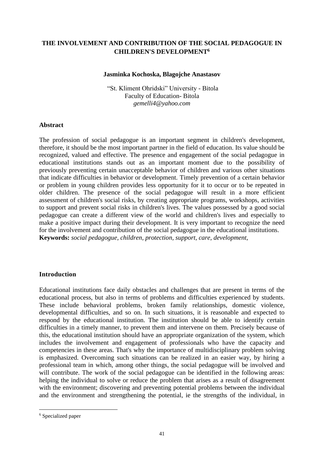## <span id="page-41-1"></span><span id="page-41-0"></span>**THE INVOLVEMENT AND CONTRIBUTION OF THE SOCIAL PEDAGOGUE IN CHILDREN'S DEVELOPMENT<sup>6</sup>**

#### **Jasminka Kochoska, Blagojche Anastasov**

"St. Kliment Ohridski" University - Bitola Faculty of Education- Bitola *gemelli4@yahoo.com*

#### **Abstract**

The profession of social pedagogue is an important segment in children's development, therefore, it should be the most important partner in the field of education. Its value should be recognized, valued and effective. The presence and engagement of the social pedagogue in educational institutions stands out as an important moment due to the possibility of previously preventing certain unacceptable behavior of children and various other situations that indicate difficulties in behavior or development. Timely prevention of a certain behavior or problem in young children provides less opportunity for it to occur or to be repeated in older children. The presence of the social pedagogue will result in a more efficient assessment of children's social risks, by creating appropriate programs, workshops, activities to support and prevent social risks in children's lives. The values possessed by a good social pedagogue can create a different view of the world and children's lives and especially to make a positive impact during their development. It is very important to recognize the need for the involvement and contribution of the social pedagogue in the educational institutions. **Keywords:** *social pedagogue, children, protection, support, care, development,*

#### **Introduction**

Educational institutions face daily obstacles and challenges that are present in terms of the educational process, but also in terms of problems and difficulties experienced by students. These include behavioral problems, broken family relationships, domestic violence, developmental difficulties, and so on. In such situations, it is reasonable and expected to respond by the educational institution. The institution should be able to identify certain difficulties in a timely manner, to prevent them and intervene on them. Precisely because of this, the educational institution should have an appropriate organization of the system, which includes the involvement and engagement of professionals who have the capacity and competencies in these areas. That's why the importance of multidisciplinary problem solving is emphasized. Overcoming such situations can be realized in an easier way, by hiring a professional team in which, among other things, the social pedagogue will be involved and will contribute. The work of the social pedagogue can be identified in the following areas: helping the individual to solve or reduce the problem that arises as a result of disagreement with the environment; discovering and preventing potential problems between the individual and the environment and strengthening the potential, ie the strengths of the individual, in

<sup>&</sup>lt;sup>6</sup> Specialized paper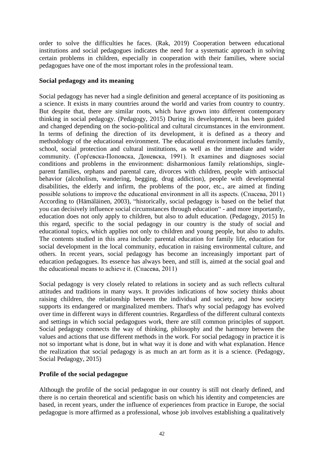order to solve the difficulties he faces. (Rak, 2019) Cooperation between educational institutions and social pedagogues indicates the need for a systematic approach in solving certain problems in children, especially in cooperation with their families, where social pedagogues have one of the most important roles in the professional team.

## **Social pedagogy and its meaning**

Social pedagogy has never had a single definition and general acceptance of its positioning as a science. It exists in many countries around the world and varies from country to country. But despite that, there are similar roots, which have grown into different contemporary thinking in social pedagogy. (Pedagogy, 2015) During its development, it has been guided and changed depending on the socio-political and cultural circumstances in the environment. In terms of defining the direction of its development, it is defined as a theory and methodology of the educational environment. The educational environment includes family, school, social protection and cultural institutions, as well as the immediate and wider community. (Ѓорѓевска-Поповска, Доневска, 1991). It examines and diagnoses social conditions and problems in the environment: disharmonious family relationships, singleparent families, orphans and parental care, divorces with children, people with antisocial behavior (alcoholism, wandering, begging, drug addiction), people with developmental disabilities, the elderly and infirm, the problems of the poor, etc., are aimed at finding possible solutions to improve the educational environment in all its aspects. (Спасева, 2011) According to (Hämäläinen, 2003), "historically, social pedagogy is based on the belief that you can decisively influence social circumstances through education" - and more importantly, education does not only apply to children, but also to adult education. (Pedagogy, 2015) In this regard, specific to the social pedagogy in our country is the study of social and educational topics, which applies not only to children and young people, but also to adults. The contents studied in this area include: parental education for family life, education for social development in the local community, education in raising environmental culture, and others. In recent years, social pedagogy has become an increasingly important part of education pedagogues. Its essence has always been, and still is, aimed at the social goal and the educational means to achieve it. (Спасева, 2011)

Social pedagogy is very closely related to relations in society and as such reflects cultural attitudes and traditions in many ways. It provides indications of how society thinks about raising children, the relationship between the individual and society, and how society supports its endangered or marginalized members. That's why social pedagogy has evolved over time in different ways in different countries. Regardless of the different cultural contexts and settings in which social pedagogues work, there are still common principles of support. Social pedagogy connects the way of thinking, philosophy and the harmony between the values and actions that use different methods in the work. For social pedagogy in practice it is not so important what is done, but in what way it is done and with what explanation. Hence the realization that social pedagogy is as much an art form as it is a science. (Pedagogy, Social Pedagogy, 2015)

## **Profile of the social pedagogue**

Although the profile of the social pedagogue in our country is still not clearly defined, and there is no certain theoretical and scientific basis on which his identity and competencies are based, in recent years, under the influence of experiences from practice in Europe, the social pedagogue is more affirmed as a professional, whose job involves establishing a qualitatively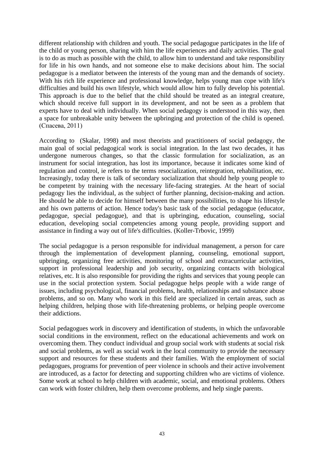different relationship with children and youth. The social pedagogue participates in the life of the child or young person, sharing with him the life experiences and daily activities. The goal is to do as much as possible with the child, to allow him to understand and take responsibility for life in his own hands, and not someone else to make decisions about him. The social pedagogue is a mediator between the interests of the young man and the demands of society. With his rich life experience and professional knowledge, helps young man cope with life's difficulties and build his own lifestyle, which would allow him to fully develop his potential. This approach is due to the belief that the child should be treated as an integral creature, which should receive full support in its development, and not be seen as a problem that experts have to deal with individually. When social pedagogy is understood in this way, then a space for unbreakable unity between the upbringing and protection of the child is opened. (Спасева, 2011)

According to (Skalar, 1998) and most theorists and practitioners of social pedagogy, the main goal of social pedagogical work is social integration. In the last two decades, it has undergone numerous changes, so that the classic formulation for socialization, as an instrument for social integration, has lost its importance, because it indicates some kind of regulation and control, ie refers to the terms resocialization, reintegration, rehabilitation, etc. Increasingly, today there is talk of secondary socialization that should help young people to be competent by training with the necessary life-facing strategies. At the heart of social pedagogy lies the individual, as the subject of further planning, decision-making and action. He should be able to decide for himself between the many possibilities, to shape his lifestyle and his own patterns of action. Hence today's basic task of the social pedagogue (educator, pedagogue, special pedagogue), and that is upbringing, education, counseling, social education, developing social competencies among young people, providing support and assistance in finding a way out of life's difficulties. (Koller-Trbovic, 1999)

The social pedagogue is a person responsible for individual management, a person for care through the implementation of development planning, counseling, emotional support, upbringing, organizing free activities, monitoring of school and extracurricular activities, support in professional leadership and job security, organizing contacts with biological relatives, etc. It is also responsible for providing the rights and services that young people can use in the social protection system. Social pedagogue helps people with a wide range of issues, including psychological, financial problems, health, relationships and substance abuse problems, and so on. Many who work in this field are specialized in certain areas, such as helping children, helping those with life-threatening problems, or helping people overcome their addictions.

Social pedagogues work in discovery and identification of students, in which the unfavorable social conditions in the environment, reflect on the educational achievements and work on overcoming them. They conduct individual and group social work with students at social risk and social problems, as well as social work in the local community to provide the necessary support and resources for these students and their families. With the employment of social pedagogues, programs for prevention of peer violence in schools and their active involvement are introduced, as a factor for detecting and supporting children who are victims of violence. Some work at school to help children with academic, social, and emotional problems. Others can work with foster children, help them overcome problems, and help single parents.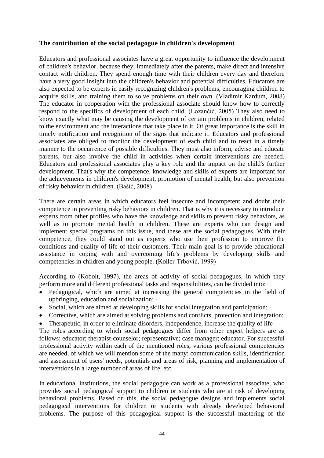## **The contribution of the social pedagogue in children's development**

Educators and professional associates have a great opportunity to influence the development of children's behavior, because they, immediately after the parents, make direct and intensive contact with children. They spend enough time with their children every day and therefore have a very good insight into the children's behavior and potential difficulties. Educators are also expected to be experts in easily recognizing children's problems, encouraging children to acquire skills, and training them to solve problems on their own. (Vladimir Kardum, 2008) The educator in cooperation with the professional associate should know how to correctly respond to the specifics of development of each child. (Lozančić, 2005) They also need to know exactly what may be causing the development of certain problems in children, related to the environment and the interactions that take place in it. Of great importance is the skill in timely notification and recognition of the signs that indicate it. Educators and professional associates are obliged to monitor the development of each child and to react in a timely manner to the occurrence of possible difficulties. They must also inform, advise and educate parents, but also involve the child in activities when certain interventions are needed. Educators and professional associates play a key role and the impact on the child's further development. That's why the competence, knowledge and skills of experts are important for the achievements in children's development, promotion of mental health, but also prevention of risky behavior in children. (Bašić, 2008)

There are certain areas in which educators feel insecure and incompetent and doubt their competence in preventing risky behaviors in children. That is why it is necessary to introduce experts from other profiles who have the knowledge and skills to prevent risky behaviors, as well as to promote mental health in children. These are experts who can design and implement special programs on this issue, and these are the social pedagogues. With their competence, they could stand out as experts who use their profession to improve the conditions and quality of life of their customers. Their main goal is to provide educational assistance in coping with and overcoming life's problems by developing skills and competencies in children and young people. (Koller-Trbović, 1999)

According to (Kobolt, 1997), the areas of activity of social pedagogues, in which they perform more and different professional tasks and responsibilities, can be divided into: ·

- Pedagogical, which are aimed at increasing the general competencies in the field of upbringing, education and socialization; ·
- Social, which are aimed at developing skills for social integration and participation;
- Corrective, which are aimed at solving problems and conflicts, protection and integration;
- Therapeutic, in order to eliminate disorders, independence, increase the quality of life

The roles according to which social pedagogues differ from other expert helpers are as follows: educator; therapist-counselor; representative; case manager; educator. For successful professional activity within each of the mentioned roles, various professional competencies are needed, of which we will mention some of the many: communication skills, identification and assessment of users' needs, potentials and areas of risk, planning and implementation of interventions in a large number of areas of life, etc.

In educational institutions, the social pedagogue can work as a professional associate, who provides social pedagogical support to children or students who are at risk of developing behavioral problems. Based on this, the social pedagogue designs and implements social pedagogical interventions for children or students with already developed behavioral problems. The purpose of this pedagogical support is the successful mastering of the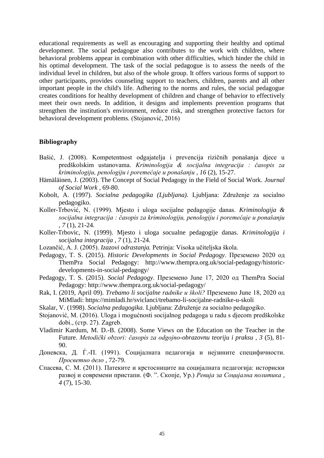educational requirements as well as encouraging and supporting their healthy and optimal development. The social pedagogue also contributes to the work with children, where behavioral problems appear in combination with other difficulties, which hinder the child in his optimal development. The task of the social pedagogue is to assess the needs of the individual level in children, but also of the whole group. It offers various forms of support to other participants, provides counseling support to teachers, children, parents and all other important people in the child's life. Adhering to the norms and rules, the social pedagogue creates conditions for healthy development of children and change of behavior to effectively meet their own needs. In addition, it designs and implements prevention programs that strengthen the institution's environment, reduce risk, and strengthen protective factors for behavioral development problems. (Stojanović, 2016)

#### **Bibliography**

- Bašić, J. (2008). Kompetentnost odgajatelja i prevencija rizičnih ponašanja djece u predškolskim ustanovama. *Kriminologija & socijalna integracija : časopis za kriminologiju, penologiju i poremećaje u ponašanju , 16* (2), 15-27.
- Hämäläinen, J. (2003). The Concept of Social Pedagogy in the Field of Social Work. *Journal of Social Work* , 69-80.
- Kobolt, A. (1997). *Socialna pedagogika (Ljubljana).* Ljubljana: Združenje za socialno pedagogiko.
- Koller-Trbović, N. (1999). Mjesto i uloga socijalne pedagogije danas. *Kriminologija & socijalna integracija : časopis za kriminologiju, penologiju i poremećaje u ponašanju , 7* (1), 21-24.
- Koller-Trbovic, N. (1999). Mjesto i uloga socualne pedagogije danas. *Kriminologija i socijalna integracija , 7* (1), 21-24.
- Lozančić, A. J. (2005). *Izazovi odrastanja.* Petrinja: Visoka učiteljska škola.
- Pedagogy, T. S. (2015). *Historic Developments in Social Pedagogy*. Преземено 2020 од ThemPra Social Pedagogy: http://www.thempra.org.uk/social-pedagogy/historicdevelopments-in-social-pedagogy/
- Pedagogy, T. S. (2015). *Social Pedagogy*. Преземено June 17, 2020 од ThemPra Social Pedagogy: http://www.thempra.org.uk/social-pedagogy/
- Rak, I. (2019, April 09). *Trebamo li socijalne radnike u školi?* Преземено June 18, 2020 од MiMladi: https://mimladi.hr/sviclanci/trebamo-li-socijalne-radnike-u-skoli
- Skalar, V. (1998). *Socialna pedagogika.* Ljubljana: Združenje za socialno pedagogiko.
- Stojanović, M. (2016). Uloga i mogućnosti socijalnog pedagoga u radu s djecom predškolske dobi., (стр. 27). Zagreb.
- Vladimir Kardum, M. D.-B. (2008). Some Views on the Education on the Teacher in the Future. *Metodički obzori: časopis za odgojno-obrazovnu teoriju i praksu , 3* (5), 81- 90.
- Доневска, Д. Ѓ.-П. (1991). Социјалната педагогија и нејзините специфичности. *Просветно дело* , 72-79.
- Спасева, С. М. (2011). Патеките и крстосниците на социјалната педагогија: историски развој и современи пристапи. (Ф. ". Скопје, Ур.) *Ревија за Социјална политика , 4* (7), 15-30.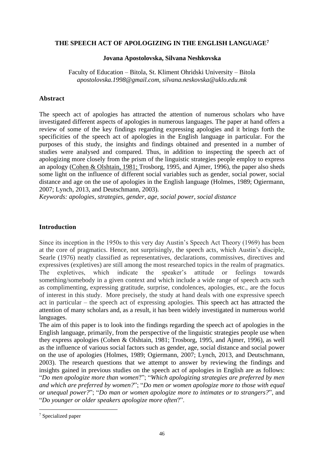## <span id="page-46-1"></span><span id="page-46-0"></span>**THE SPEECH ACT OF APOLOGIZING IN THE ENGLISH LANGUAGE<sup>7</sup>**

#### **Jovana Apostolovska, Silvana Neshkovska**

Faculty of Education – Bitola, St. Kliment Ohridski University – Bitola *apostolovska.1998@gmail.com, silvana.neskovska@uklo.edu.mk*

## **Abstract**

The speech act of apologies has attracted the attention of numerous scholars who have investigated different aspects of apologies in numerous languages. The paper at hand offers a review of some of the key findings regarding expressing apologies and it brings forth the specificities of the speech act of apologies in the English language in particular. For the purposes of this study, the insights and findings obtained and presented in a number of studies were analysed and compared. Thus, in addition to inspecting the speech act of apologizing more closely from the prism of the linguistic strategies people employ to express an apology [\(Cohen & Olshtain, 1981;](https://carla.umn.edu/speechacts/apologies/american.html#cohen81) Trosborg, 1995, and Ajmer, 1996), the paper also sheds some light on the influence of different social variables such as gender, social power, social distance and age on the use of apologies in the English language (Holmes, 1989; Ogiermann, 2007; Lynch, 2013, and Deutschmann, 2003).

*Keywords: apologies, strategies, gender, age, social power, social distance*

## **Introduction**

Since its inception in the 1950s to this very day Austin's Speech Act Theory (1969) has been at the core of pragmatics. Hence, not surprisingly, the speech acts, which Austin's disciple, Searle (1976) neatly classified as representatives, declarations, commissives, directives and expressives (expletives) are still among the most researched topics in the realm of pragmatics. The expletives, which indicate the speaker's attitude or feelings towards something/somebody in a given context and which include a wide range of speech acts such as complimenting, expressing gratitude, surprise, condolences, apologies, etc., are the focus of interest in this study. More precisely, the study at hand deals with one expressive speech act in particular – the speech act of expressing apologies. This speech act has attracted the attention of many scholars and, as a result, it has been widely investigated in numerous world languages.

The aim of this paper is to look into the findings regarding the speech act of apologies in the English language, primarily, from the perspective of the linguistic strategies people use when they express apologies [\(Cohen & Olshtain, 1981;](https://carla.umn.edu/speechacts/apologies/american.html#cohen81) Trosborg, 1995, and Ajmer, 1996), as well as the influence of various social factors such as gender, age, social distance and social power on the use of apologies (Holmes, 1989; Ogiermann, 2007; Lynch, 2013, and Deutschmann, 2003). The research questions that we attempt to answer by reviewing the findings and insights gained in previous studies on the speech act of apologies in English are as follows: "*Do men apologize more than women*?"; "*Which apologizing strategies are preferred by men and which are preferred by women?*"; "*Do men or women apologize more to those with equal or unequal power?*"; "*Do man or women apologize more to intimates or to strangers?*", and "*Do younger or older speakers apologize more often*?".

<sup>7</sup> Specialized paper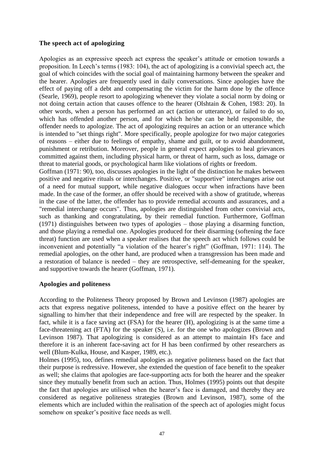## **The speech act of apologizing**

Apologies as an expressive speech act express the speaker's attitude or emotion towards a proposition. In Leech's terms (1983: 104), the act of apologizing is a convivial speech act, the goal of which coincides with the social goal of maintaining harmony between the speaker and the hearer. Apologies are frequently used in daily conversations. Since apologies have the effect of paying off a debt and compensating the victim for the harm done by the offence (Searle, 1969), people resort to apologizing whenever they violate a social norm by doing or not doing certain action that causes offence to the hearer (Olshtain & Cohen, 1983: 20). In other words, when a person has performed an act (action or utterance), or failed to do so, which has offended another person, and for which he/she can be held responsible, the offender needs to apologize. The act of apologizing requires an action or an utterance which is intended to "set things right". More specifically, people apologize for two major categories of reasons – either due to feelings of empathy, shame and guilt, or to avoid abandonment, punishment or retribution. Moreover, people in general expect apologies to heal grievances committed against them, including physical harm, or threat of harm, such as loss, damage or threat to material goods, or psychological harm like violations of rights or freedom.

Goffman (1971: 90), too, discusses apologies in the light of the distinction he makes between positive and negative rituals or interchanges. Positive, or "supportive" interchanges arise out of a need for mutual support, while negative dialogues occur when infractions have been made. In the case of the former, an offer should be received with a show of gratitude, whereas in the case of the latter, the offender has to provide remedial accounts and assurances, and a "remedial interchange occurs". Thus, apologies are distinguished from other convivial acts, such as thanking and congratulating, by their remedial function. Furthermore, Goffman (1971) distinguishes between two types of apologies – those playing a disarming function, and those playing a remedial one. Apologies produced for their disarming (softening the face threat) function are used when a speaker realises that the speech act which follows could be inconvenient and potentially "a violation of the hearer's right" (Goffman, 1971: 114). The remedial apologies, on the other hand, are produced when a transgression has been made and a restoration of balance is needed – they are retrospective, self-demeaning for the speaker, and supportive towards the hearer (Goffman, 1971).

#### **Apologies and politeness**

According to the Politeness Theory proposed by Brown and Levinson (1987) apologies are acts that express negative politeness, intended to have a positive effect on the hearer by signalling to him/her that their independence and free will are respected by the speaker. In fact, while it is a face saving act (FSA) for the hearer (H), apologizing is at the same time a face-threatening act (FTA) for the speaker (S), i.e. for the one who apologizes (Brown and Levinson 1987). That apologizing is considered as an attempt to maintain H's face and therefore it is an inherent face-saving act for H has been confirmed by other researchers as well (Blum-Kulka, House, and Kasper, 1989, etc.).

Holmes (1995), too, defines remedial apologies as negative politeness based on the fact that their purpose is redressive. However, she extended the question of face benefit to the speaker as well; she claims that apologies are face-supporting acts for both the hearer and the speaker since they mutually benefit from such an action. Thus, Holmes (1995) points out that despite the fact that apologies are utilised when the hearer's face is damaged, and thereby they are considered as negative politeness strategies (Brown and Levinson, 1987), some of the elements which are included within the realisation of the speech act of apologies might focus somehow on speaker's positive face needs as well.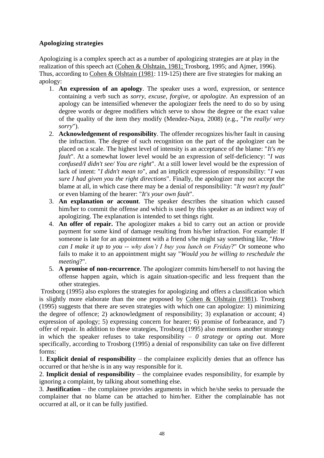## **Apologizing strategies**

Apologizing is a complex speech act as a number of apologizing strategies are at play in the realization of this speech act [\(Cohen & Olshtain, 1981;](https://carla.umn.edu/speechacts/apologies/american.html#cohen81) Trosborg, 1995; and Ajmer, 1996). Thus, according to [Cohen & Olshtain \(1981:](https://carla.umn.edu/speechacts/apologies/american.html#cohen81) 119-125) there are five strategies for making an apology:

- 1. **An expression of an apology**. The speaker uses a word, expression, or sentence containing a verb such as *sorry*, *excuse*, *forgive*, or *apologize*. An expression of an apology can be intensified whenever the apologizer feels the need to do so by using degree words or degree modifiers which serve to show the degree or the exact value of the quality of the item they modify (Mendez-Naya, 2008) (e.g., "*I'm really/ very sorry*").
- 2. **Acknowledgement of responsibility**. The offender recognizes his/her fault in causing the infraction. The degree of such recognition on the part of the apologizer can be placed on a scale. The highest level of intensity is an acceptance of the blame: "*It's my fault*". At a somewhat lower level would be an expression of self-deficiency: "*I was confused/I didn't see/ You are right*". At a still lower level would be the expression of lack of intent: "*I didn't mean to*", and an implicit expression of responsibility: "*I was sure I had given you the right directions*". Finally, the apologizer may not accept the blame at all, in which case there may be a denial of responsibility: "*It wasn't my fault*" or even blaming of the hearer: "*It's your own fault*".
- 3. **An explanation or account**. The speaker describes the situation which caused him/her to commit the offense and which is used by this speaker as an indirect way of apologizing. The explanation is intended to set things right.
- 4. **An offer of repair.** The apologizer makes a bid to carry out an action or provide payment for some kind of damage resulting from his/her infraction. For example: If someone is late for an appointment with a friend s/he might say something like, "*How can I make it up to you -- why don't I buy you lunch on Friday*?" Or someone who fails to make it to an appointment might say "*Would you be willing to reschedule the meeting*?".
- 5. **A promise of non-recurrence**. The apologizer commits him/herself to not having the offense happen again, which is again situation-specific and less frequent than the other strategies.

Trosborg (1995) also explores the strategies for apologizing and offers a classification which is slightly more elaborate than the one proposed by [Cohen & Olshtain \(1981\)](https://carla.umn.edu/speechacts/apologies/american.html#cohen81). Trosborg (1995) suggests that there are seven strategies with which one can apologize: 1) minimizing the degree of offence; 2) acknowledgment of responsibility; 3) explanation or account; 4) expression of apology; 5) expressing concern for hearer; 6) promise of forbearance, and 7) offer of repair. In addition to these strategies, Trosborg (1995) also mentions another strategy in which the speaker refuses to take responsibility – *0 strategy* or *opting out*. More specifically, according to Trosborg (1995) a denial of responsibility can take on five different forms:

1. **Explicit denial of responsibility** – the complainee explicitly denies that an offence has occurred or that he/she is in any way responsible for it.

2. **Implicit denial of responsibility** – the complainee evades responsibility, for example by ignoring a complaint, by talking about something else.

3. **Justification** – the complainee provides arguments in which he/she seeks to persuade the complainer that no blame can be attached to him/her. Either the complainable has not occurred at all, or it can be fully justified.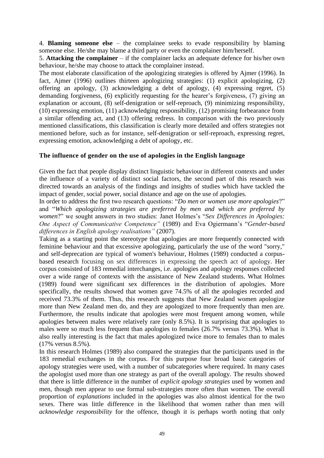4. **Blaming someone else** – the complainee seeks to evade responsibility by blaming someone else. He/she may blame a third party or even the complainer him/herself.

5. **Attacking the complainer** – if the complainer lacks an adequate defence for his/her own behaviour, he/she may choose to attack the complainer instead.

The most elaborate classification of the apologizing strategies is offered by Ajmer (1996). In fact, Ajmer (1996) outlines thirteen apologizing strategies: (1) explicit apologizing, (2) offering an apology, (3) acknowledging a debt of apology, (4) expressing regret, (5) demanding forgiveness, (6) explicitly requesting for the hearer's forgiveness, (7) giving an explanation or account, (8) self-denigration or self-reproach, (9) minimizing responsibility, (10) expressing emotion, (11) acknowledging responsibility, (12) promising forbearance from a similar offending act, and (13) offering redress. In comparison with the two previously mentioned classifications, this classification is clearly more detailed and offers strategies not mentioned before, such as for instance, self-denigration or self-reproach, expressing regret, expressing emotion, acknowledging a debt of apology, etc.

## **The influence of gender on the use of apologies in the English language**

Given the fact that people display distinct linguistic behaviour in different contexts and under the influence of a variety of distinct social factors, the second part of this research was directed towards an analysis of the findings and insights of studies which have tackled the impact of gender, social power, social distance and age on the use of apologies.

In order to address the first two research questions: "*Do men or women use more apologies*?" and "*Which apologizing strategies are preferred by men and which are preferred by women*?" we sought answers in two studies: Janet Holmes's "*Sex Differences in Apologies: One Aspect of Communicative Competence"* (1989) and Eva Ogiermann's "*Gender-based differences in English apology realisations"* (2007).

Taking as a starting point the stereotype that apologies are more frequently connected with feminine behaviour and that excessive apologizing, particularly the use of the word "sorry," and self-deprecation are typical of women's behaviour, Holmes (1989) conducted a corpusbased research focusing on sex differences in expressing the speech act of apology. Her corpus consisted of 183 remedial interchanges, i.e. apologies and apology responses collected over a wide range of contexts with the assistance of New Zealand students. What Holmes (1989) found were significant sex differences in the distribution of apologies. More specifically, the results showed that women gave 74.5% of all the apologies recorded and received 73.3% of them. Thus, this research suggests that New Zealand women apologize more than New Zealand men do, and they are apologized to more frequently than men are. Furthermore, the results indicate that apologies were most frequent among women, while apologies between males were relatively rare (only 8.5%). It is surprising that apologies to males were so much less frequent than apologies to females (26.7% versus 73.3%). What is also really interesting is the fact that males apologized twice more to females than to males (17% versus 8.5%).

In this research Holmes (1989) also compared the strategies that the participants used in the 183 remedial exchanges in the corpus. For this purpose four broad basic categories of apology strategies were used, with a number of subcategories where required. In many cases the apologist used more than one strategy as part of the overall apology. The results showed that there is little difference in the number of *explicit apology strategies* used by women and men, though men appear to use formal sub-strategies more often than women. The overall proportion of *explanations* included in the apologies was also almost identical for the two sexes. There was little difference in the likelihood that women rather than men will *acknowledge responsibility* for the offence, though it is perhaps worth noting that only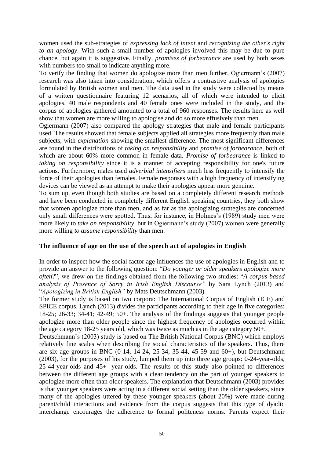women used the sub-strategies of *expressing lack of intent* and *recognizing the other's right to an apology*. With such a small number of apologies involved this may be due to pure chance, but again it is suggestive. Finally, *promises of forbearance* are used by both sexes with numbers too small to indicate anything more.

To verify the finding that women do apologize more than men further, Ogiermann's (2007) research was also taken into consideration, which offers a contrastive analysis of apologies formulated by British women and men. The data used in the study were collected by means of a written questionnaire featuring 12 scenarios, all of which were intended to elicit apologies. 40 male respondents and 40 female ones were included in the study, and the corpus of apologies gathered amounted to a total of 960 responses. The results here as well show that women are more willing to apologise and do so more effusively than men.

Ogiermann (2007) also compared the apology strategies that male and female participants used. The results showed that female subjects applied all strategies more frequently than male subjects, with *explanation* showing the smallest difference. The most significant differences are found in the distributions of *taking on responsibility* and *promise of forbearance*, both of which are about 60% more common in female data. *Promise of forbearance* is linked to *taking on responsibility* since it is a manner of accepting responsibility for one's future actions. Furthermore, males used *adverbial intensifiers* much less frequently to intensify the force of their apologies than females. Female responses with a high frequency of intensifying devices can be viewed as an attempt to make their apologies appear more genuine.

To sum up, even though both studies are based on a completely different research methods and have been conducted in completely different English speaking countries, they both show that women apologize more than men, and as far as the apologizing strategies are concerned only small differences were spotted. Thus, for instance, in Holmes's (1989) study men were more likely to *take on responsibility,* but in Ogiermann's study (2007) women were generally more willing *to assume responsibility* than men.

#### **The influence of age on the use of the speech act of apologies in English**

In order to inspect how the social factor age influences the use of apologies in English and to provide an answer to the following question: "*Do younger or older speakers apologize more often*?", we drew on the findings obtained from the following two studies: "*A corpus-based analysis of Presence of Sorry in Irish English Discourse"* by Sara Lynch (2013) and "*Apologizing in British English"* by Mats Deutschmann (2003).

The former study is based on two corpora: The International Corpus of English (ICE) and SPICE corpus. Lynch (2013) divides the participants according to their age in five categories: 18-25; 26-33; 34-41; 42-49; 50+. The analysis of the findings suggests that younger people apologize more than older people since the highest frequency of apologies occurred within the age category 18-25 years old, which was twice as much as in the age category 50+.

Deutschmann's (2003) study is based on The British National Corpus (BNC) which employs relatively fine scales when describing the social characteristics of the speakers. Thus, there are six age groups in BNC (0-14, 14-24, 25-34, 35-44, 45-59 and 60+), but Deutschmann (2003), for the purposes of his study, lumped them up into three age groups: 0-24-year-olds, 25-44-year-olds and 45+- year-olds. The results of this study also pointed to differences between the different age groups with a clear tendency on the part of younger speakers to apologize more often than older speakers. The explanation that Deutschmann (2003) provides is that younger speakers were acting in a different social setting than the older speakers, since many of the apologies uttered by these younger speakers (about 20%) were made during parent/child interactions and evidence from the corpus suggests that this type of dyadic interchange encourages the adherence to formal politeness norms. Parents expect their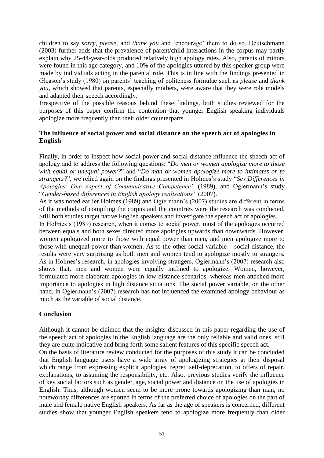children to say *sorry, please,* and *thank you* and 'encourage' them to do so. Deutschmann (2003) further adds that the prevalence of parent/child interactions in the corpus may partly explain why 25-44-year-olds produced relatively high apology rates. Also, parents of minors were found in this age category, and 10% of the apologies uttered by this speaker group were made by individuals acting in the parental role. This is in line with the findings presented in Gleason's study (1980) on parents' teaching of politeness formulae such as *please* and *thank you,* which showed that parents, especially mothers, were aware that they were role models and adapted their speech accordingly.

Irrespective of the possible reasons behind these findings, both studies reviewed for the purposes of this paper confirm the contention that younger English speaking individuals apologize more frequently than their older counterparts.

## **The influence of social power and social distance on the speech act of apologies in English**

Finally, in order to inspect how social power and social distance influence the speech act of apology and to address the following questions: "*Do men or women apologize more to those with equal or unequal power?*" and "*Do man or women apologize more to intimates or to strangers?*", we relied again on the findings presented in Holmes's study "*Sex Differences in Apologies: One Aspect of Communicative Competence"* (1989), and Ogiermann's study "*Gender-based differences in English apology realisations"* (2007).

As it was noted earlier Holmes (1989) and Ogiermann's (2007) studies are different in terms of the methods of compiling the corpus and the countries were the research was conducted. Still both studies target native English speakers and investigate the speech act of apologies.

In Holmes's (1989) research, when it comes to social power, most of the apologies occurred between equals and both sexes directed more apologies upwards than downwards. However, women apologized more to those with equal power than men, and men apologize more to those with unequal power than women. As to the other social variable – social distance, the results were very surprising as both men and women tend to apologize mostly to strangers. As in Holmes's research, in apologies involving strangers, Ogiermann's (2007) research also shows that, men and women were equally inclined to apologize. Women, however, formulated more elaborate apologies in low distance scenarios, whereas men attached more importance to apologies in high distance situations. The social power variable, on the other hand, in Ogiermann's (2007) research has not influenced the examined apology behaviour as much as the variable of social distance.

#### **Conclusion**

Although it cannot be claimed that the insights discussed in this paper regarding the use of the speech act of apologies in the English language are the only reliable and valid ones, still they are quite indicative and bring forth some salient features of this specific speech act.

On the basis of literature review conducted for the purposes of this study it can be concluded that English language users have a wide array of apologizing strategies at their disposal which range from expressing explicit apologies, regret, self-deprecation, to offers of repair, explanations, to assuming the responsibility, etc. Also, previous studies verify the influence of key social factors such as gender, age, social power and distance on the use of apologies in English. Thus, although women seem to be more prone towards apologizing than man, no noteworthy differences are spotted in terms of the preferred choice of apologies on the part of male and female native English speakers. As far as the age of speakers is concerned, different studies show that younger English speakers tend to apologize more frequently than older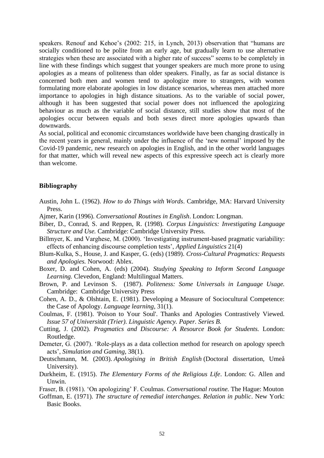speakers. Renouf and Kehoe's (2002: 215, in Lynch, 2013) observation that "humans are socially conditioned to be polite from an early age, but gradually learn to use alternative strategies when these are associated with a higher rate of success" seems to be completely in line with these findings which suggest that younger speakers are much more prone to using apologies as a means of politeness than older speakers. Finally, as far as social distance is concerned both men and women tend to apologize more to strangers, with women formulating more elaborate apologies in low distance scenarios, whereas men attached more importance to apologies in high distance situations. As to the variable of social power, although it has been suggested that social power does not influenced the apologizing behaviour as much as the variable of social distance, still studies show that most of the apologies occur between equals and both sexes direct more apologies upwards than downwards.

As social, political and economic circumstances worldwide have been changing drastically in the recent years in general, mainly under the influence of the 'new normal' imposed by the Covid-19 pandemic, new research on apologies in English, and in the other world languages for that matter, which will reveal new aspects of this expressive speech act is clearly more than welcome.

#### **Bibliography**

- Austin, John L. (1962). *How to do Things with Words*. Cambridge, MA: Harvard University Press.
- Ajmer, Karin (1996). *Conversational Routines in English*. London: Longman.
- Biber, D., Conrad, S. and Reppen, R. (1998). *Corpus Linguistics: Investigating Language Structure and Use.* Cambridge: Cambridge University Press.
- Billmyer, K. and Varghese, M. (2000). 'Investigating instrument-based pragmatic variability: effects of enhancing discourse completion tests', *Applied Linguistics* 21(4)
- Blum-Kulka, S., House, J. and Kasper, G. (eds) (1989). *Cross-Cultural Pragmatics: Requests and Apologies.* Norwood: Ablex.
- Boxer, D. and Cohen, A. (eds) (2004). *Studying Speaking to Inform Second Language Learning.* Clevedon, England: Multilingual Matters.
- Brown, P. and Levinson S. (1987). *Politeness: Some Universals in Language Usage.*  Cambridge: Cambridge University Press
- Cohen, A. D., & Olshtain, E. (1981). Developing a Measure of Sociocultural Competence: the Case of Apology. *Language learning,* 31(1).
- Coulmas, F. (1981). 'Poison to Your Soul'. Thanks and Apologies Contrastively Viewed. *Issue 57 of Universität (Trier). Linguistic Agency. Paper. Series B.*
- Cutting, J. (2002). *Pragmatics and Discourse: A Resource Book for Students.* London: Routledge.
- Demeter, G. (2007). 'Role-plays as a data collection method for research on apology speech acts', *Simulation and Gaming,* 38(1).
- Deutschmann, M. (2003). *Apologising in British English* (Doctoral dissertation, Umeå University).
- Durkheim, E. (1915). *The Elementary Forms of the Religious Life*. London: G. Allen and Unwin.
- Fraser, B. (1981). 'On apologizing' F. Coulmas. *Conversational routine.* The Hague: Mouton
- Goffman, E. (1971). *The structure of remedial interchanges. Relation in public*. New York: Basic Books.